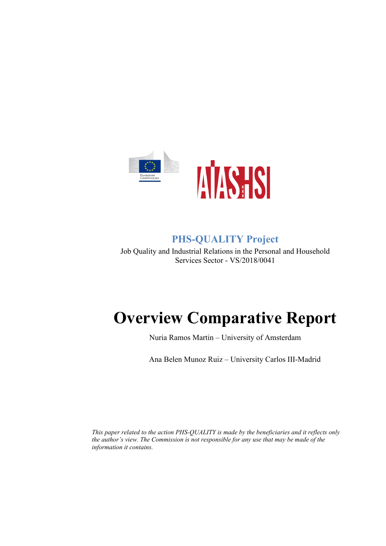

# **PHS-QUALITY Project**

<span id="page-0-0"></span>Job Quality and Industrial Relations in the Personal and Household Services Sector - VS/2018/0041

# **Overview Comparative Report**

Nuria Ramos Martin – University of Amsterdam

Ana Belen Munoz Ruiz – University Carlos III-Madrid

*This paper related to the action PHS-QUALITY is made by the beneficiaries and it reflects only the author's view. The Commission is not responsible for any use that may be made of the information it contains.*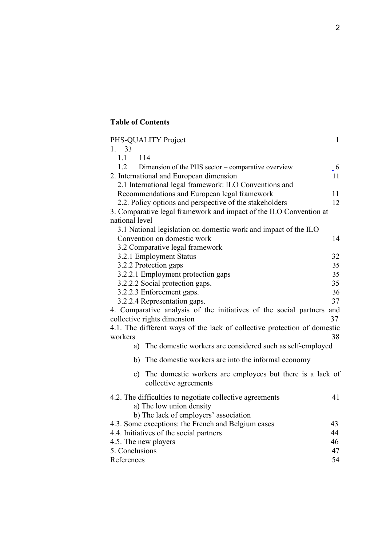# **Table of Contents**

| PHS-QUALITY Project                                                                   | $\mathbf{1}$ |
|---------------------------------------------------------------------------------------|--------------|
| 33<br>1.                                                                              |              |
| 1.1<br>114                                                                            |              |
| 1.2<br>Dimension of the PHS sector – comparative overview                             | $-6$         |
| 2. International and European dimension                                               | 11           |
| 2.1 International legal framework: ILO Conventions and                                |              |
| Recommendations and European legal framework                                          | 11           |
| 2.2. Policy options and perspective of the stakeholders                               | 12           |
| 3. Comparative legal framework and impact of the ILO Convention at                    |              |
| national level                                                                        |              |
| 3.1 National legislation on domestic work and impact of the ILO                       |              |
| Convention on domestic work                                                           | 14           |
| 3.2 Comparative legal framework                                                       |              |
| 3.2.1 Employment Status                                                               | 32           |
| 3.2.2 Protection gaps                                                                 | 35           |
| 3.2.2.1 Employment protection gaps                                                    | 35           |
| 3.2.2.2 Social protection gaps.                                                       | 35           |
| 3.2.2.3 Enforcement gaps.                                                             | 36           |
| 3.2.2.4 Representation gaps.                                                          | 37           |
| 4. Comparative analysis of the initiatives of the social partners and                 |              |
| collective rights dimension                                                           | 37           |
| 4.1. The different ways of the lack of collective protection of domestic<br>workers   | 38           |
| The domestic workers are considered such as self-employed<br>a)                       |              |
| The domestic workers are into the informal economy<br>b)                              |              |
| c) The domestic workers are employees but there is a lack of<br>collective agreements |              |
| 4.2. The difficulties to negotiate collective agreements                              | 41           |
| a) The low union density                                                              |              |
| b) The lack of employers' association                                                 |              |
| 4.3. Some exceptions: the French and Belgium cases                                    | 43           |
| 4.4. Initiatives of the social partners                                               | 44           |
| 4.5. The new players                                                                  | 46           |
| 5. Conclusions                                                                        | 47           |
| References                                                                            | 54           |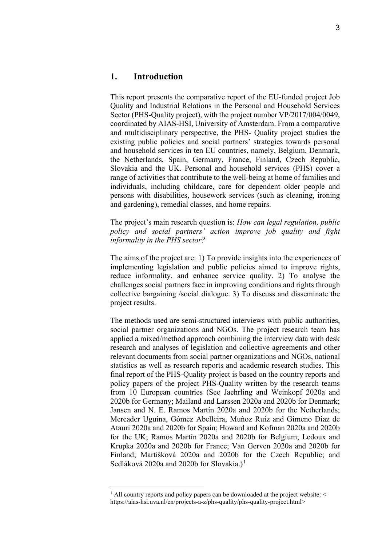<span id="page-2-0"></span>This report presents the comparative report of the EU-funded project Job Quality and Industrial Relations in the Personal and Household Services Sector (PHS-Quality project), with the project number VP/2017/004/0049, coordinated by AIAS-HSI, University of Amsterdam. From a comparative and multidisciplinary perspective, the PHS- Quality project studies the existing public policies and social partners' strategies towards personal and household services in ten EU countries, namely, Belgium, Denmark, the Netherlands, Spain, Germany, France, Finland, Czech Republic, Slovakia and the UK. Personal and household services (PHS) cover a range of activities that contribute to the well-being at home of families and individuals, including childcare, care for dependent older people and persons with disabilities, housework services (such as cleaning, ironing and gardening), remedial classes, and home repairs.

The project's main research question is: *How can legal regulation, public policy and social partners' action improve job quality and fight informality in the PHS sector?* 

The aims of the project are: 1) To provide insights into the experiences of implementing legislation and public policies aimed to improve rights, reduce informality, and enhance service quality. 2) To analyse the challenges social partners face in improving conditions and rights through collective bargaining /social dialogue. 3) To discuss and disseminate the project results.

The methods used are semi-structured interviews with public authorities, social partner organizations and NGOs. The project research team has applied a mixed/method approach combining the interview data with desk research and analyses of legislation and collective agreements and other relevant documents from social partner organizations and NGOs, national statistics as well as research reports and academic research studies. This final report of the PHS-Quality project is based on the country reports and policy papers of the project PHS-Quality written by the research teams from 10 European countries (See Jaehrling and Weinkopf 2020a and 2020b for Germany; Mailand and Larssen 2020a and 2020b for Denmark; Jansen and N. E. Ramos Martín 2020a and 2020b for the Netherlands; Mercader Uguina, Gómez Abelleira, Muñoz Ruiz and Gimeno Diaz de Atauri 2020a and 2020b for Spain; Howard and Kofman 2020a and 2020b for the UK; Ramos Martín 2020a and 2020b for Belgium; Ledoux and Krupka 2020a and 2020b for France; Van Gerven 2020a and 2020b for Finland; Martišková 2020a and 2020b for the Czech Republic; and Sedláková 2020a and 2020b for Slovakia.)<sup>[1](#page-2-1)</sup>

<span id="page-2-1"></span> $1$  All country reports and policy papers can be downloaded at the project website:  $\leq$ https://aias-hsi.uva.nl/en/projects-a-z/phs-quality/phs-quality-project.html>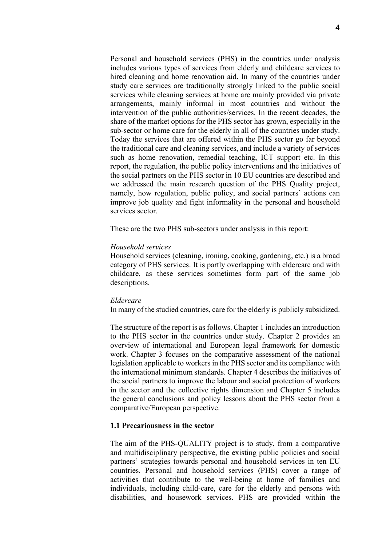Personal and household services (PHS) in the countries under analysis includes various types of services from elderly and childcare services to hired cleaning and home renovation aid. In many of the countries under study care services are traditionally strongly linked to the public social services while cleaning services at home are mainly provided via private arrangements, mainly informal in most countries and without the intervention of the public authorities/services. In the recent decades, the share of the market options for the PHS sector has grown, especially in the sub-sector or home care for the elderly in all of the countries under study. Today the services that are offered within the PHS sector go far beyond the traditional care and cleaning services, and include a variety of services such as home renovation, remedial teaching, ICT support etc. In this report, the regulation, the public policy interventions and the initiatives of the social partners on the PHS sector in 10 EU countries are described and we addressed the main research question of the PHS Quality project, namely, how regulation, public policy, and social partners' actions can improve job quality and fight informality in the personal and household services sector.

These are the two PHS sub-sectors under analysis in this report:

#### *Household services*

Household services (cleaning, ironing, cooking, gardening, etc.) is a broad category of PHS services. It is partly overlapping with eldercare and with childcare, as these services sometimes form part of the same job descriptions.

# *Eldercare*

In many of the studied countries, care for the elderly is publicly subsidized.

The structure of the report is as follows. Chapter 1 includes an introduction to the PHS sector in the countries under study. Chapter 2 provides an overview of international and European legal framework for domestic work. Chapter 3 focuses on the comparative assessment of the national legislation applicable to workers in the PHS sector and its compliance with the international minimum standards. Chapter 4 describes the initiatives of the social partners to improve the labour and social protection of workers in the sector and the collective rights dimension and Chapter 5 includes the general conclusions and policy lessons about the PHS sector from a comparative/European perspective.

# **1.1 Precariousness in the sector**

The aim of the PHS-QUALITY project is to study, from a comparative and multidisciplinary perspective, the existing public policies and social partners' strategies towards personal and household services in ten EU countries. Personal and household services (PHS) cover a range of activities that contribute to the well-being at home of families and individuals, including child-care, care for the elderly and persons with disabilities, and housework services. PHS are provided within the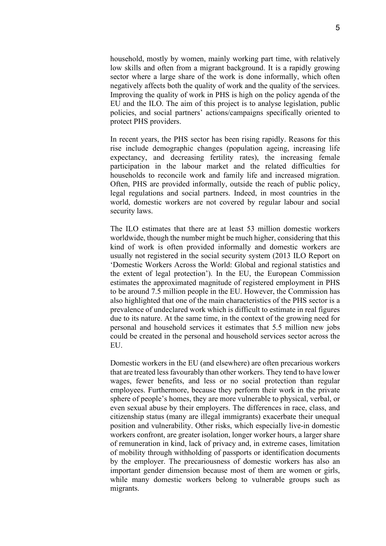household, mostly by women, mainly working part time, with relatively low skills and often from a migrant background. It is a rapidly growing sector where a large share of the work is done informally, which often negatively affects both the quality of work and the quality of the services. Improving the quality of work in PHS is high on the policy agenda of the EU and the ILO. The aim of this project is to analyse legislation, public policies, and social partners' actions/campaigns specifically oriented to protect PHS providers.

In recent years, the PHS sector has been rising rapidly. Reasons for this rise include demographic changes (population ageing, increasing life expectancy, and decreasing fertility rates), the increasing female participation in the labour market and the related difficulties for households to reconcile work and family life and increased migration. Often, PHS are provided informally, outside the reach of public policy, legal regulations and social partners. Indeed, in most countries in the world, domestic workers are not covered by regular labour and social security laws.

The ILO estimates that there are at least 53 million domestic workers worldwide, though the number might be much higher, considering that this kind of work is often provided informally and domestic workers are usually not registered in the social security system (2013 ILO Report on 'Domestic Workers Across the World: Global and regional statistics and the extent of legal protection'). In the EU, the European Commission estimates the approximated magnitude of registered employment in PHS to be around 7.5 million people in the EU. However, the Commission has also highlighted that one of the main characteristics of the PHS sector is a prevalence of undeclared work which is difficult to estimate in real figures due to its nature. At the same time, in the context of the growing need for personal and household services it estimates that 5.5 million new jobs could be created in the personal and household services sector across the EU.

Domestic workers in the EU (and elsewhere) are often precarious workers that are treated less favourably than other workers. They tend to have lower wages, fewer benefits, and less or no social protection than regular employees. Furthermore, because they perform their work in the private sphere of people's homes, they are more vulnerable to physical, verbal, or even sexual abuse by their employers. The differences in race, class, and citizenship status (many are illegal immigrants) exacerbate their unequal position and vulnerability. Other risks, which especially live-in domestic workers confront, are greater isolation, longer worker hours, a larger share of remuneration in kind, lack of privacy and, in extreme cases, limitation of mobility through withholding of passports or identification documents by the employer. The precariousness of domestic workers has also an important gender dimension because most of them are women or girls, while many domestic workers belong to vulnerable groups such as migrants.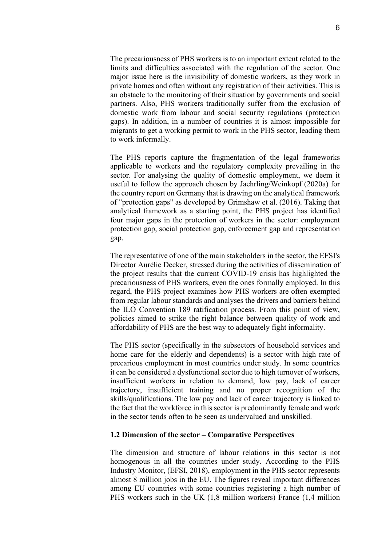The precariousness of PHS workers is to an important extent related to the limits and difficulties associated with the regulation of the sector. One major issue here is the invisibility of domestic workers, as they work in private homes and often without any registration of their activities. This is an obstacle to the monitoring of their situation by governments and social partners. Also, PHS workers traditionally suffer from the exclusion of domestic work from labour and social security regulations (protection gaps). In addition, in a number of countries it is almost impossible for migrants to get a working permit to work in the PHS sector, leading them to work informally.

The PHS reports capture the fragmentation of the legal frameworks applicable to workers and the regulatory complexity prevailing in the sector. For analysing the quality of domestic employment, we deem it useful to follow the approach chosen by Jaehrling/Weinkopf (2020a) for the country report on Germany that is drawing on the analytical framework of "protection gaps" as developed by Grimshaw et al. (2016). Taking that analytical framework as a starting point, the PHS project has identified four major gaps in the protection of workers in the sector: employment protection gap, social protection gap, enforcement gap and representation gap.

The representative of one of the main stakeholders in the sector, the EFSI's Director Aurélie Decker, stressed during the activities of dissemination of the project results that the current COVID-19 crisis has highlighted the precariousness of PHS workers, even the ones formally employed. In this regard, the PHS project examines how PHS workers are often exempted from regular labour standards and analyses the drivers and barriers behind the ILO Convention 189 ratification process. From this point of view, policies aimed to strike the right balance between quality of work and affordability of PHS are the best way to adequately fight informality.

The PHS sector (specifically in the subsectors of household services and home care for the elderly and dependents) is a sector with high rate of precarious employment in most countries under study. In some countries it can be considered a dysfunctional sector due to high turnover of workers, insufficient workers in relation to demand, low pay, lack of career trajectory, insufficient training and no proper recognition of the skills/qualifications. The low pay and lack of career trajectory is linked to the fact that the workforce in this sector is predominantly female and work in the sector tends often to be seen as undervalued and unskilled.

#### **1.2 Dimension of the sector – Comparative Perspectives**

The dimension and structure of labour relations in this sector is not homogenous in all the countries under study. According to the PHS Industry Monitor, (EFSI, 2018), employment in the PHS sector represents almost 8 million jobs in the EU. The figures reveal important differences among EU countries with some countries registering a high number of PHS workers such in the UK (1,8 million workers) France (1,4 million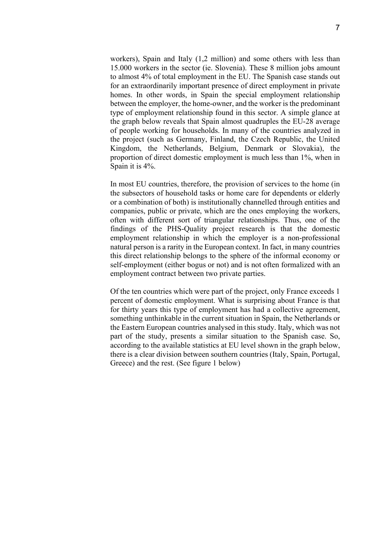workers), Spain and Italy (1,2 million) and some others with less than 15.000 workers in the sector (ie. Slovenia). These 8 million jobs amount to almost 4% of total employment in the EU. The Spanish case stands out for an extraordinarily important presence of direct employment in private homes. In other words, in Spain the special employment relationship between the employer, the home-owner, and the worker is the predominant type of employment relationship found in this sector. A simple glance at the graph below reveals that Spain almost quadruples the EU-28 average of people working for households. In many of the countries analyzed in the project (such as Germany, Finland, the Czech Republic, the United Kingdom, the Netherlands, Belgium, Denmark or Slovakia), the proportion of direct domestic employment is much less than 1%, when in Spain it is 4%.

In most EU countries, therefore, the provision of services to the home (in the subsectors of household tasks or home care for dependents or elderly or a combination of both) is institutionally channelled through entities and companies, public or private, which are the ones employing the workers, often with different sort of triangular relationships. Thus, one of the findings of the PHS-Quality project research is that the domestic employment relationship in which the employer is a non-professional natural person is a rarity in the European context. In fact, in many countries this direct relationship belongs to the sphere of the informal economy or self-employment (either bogus or not) and is not often formalized with an employment contract between two private parties.

Of the ten countries which were part of the project, only France exceeds 1 percent of domestic employment. What is surprising about France is that for thirty years this type of employment has had a collective agreement, something unthinkable in the current situation in Spain, the Netherlands or the Eastern European countries analysed in this study. Italy, which was not part of the study, presents a similar situation to the Spanish case. So, according to the available statistics at EU level shown in the graph below, there is a clear division between southern countries (Italy, Spain, Portugal, Greece) and the rest. (See figure 1 below)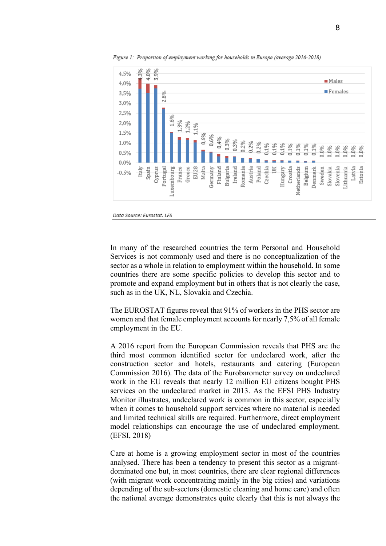

Figure 1: Proportion of employment working for households in Europe (average 2016-2018)

In many of the researched countries the term Personal and Household Services is not commonly used and there is no conceptualization of the sector as a whole in relation to employment within the household. In some countries there are some specific policies to develop this sector and to promote and expand employment but in others that is not clearly the case, such as in the UK, NL, Slovakia and Czechia.

The EUROSTAT figures reveal that 91% of workers in the PHS sector are women and that female employment accounts for nearly 7,5% of all female employment in the EU.

A 2016 report from the European Commission reveals that PHS are the third most common identified sector for undeclared work, after the construction sector and hotels, restaurants and catering (European Commission 2016). The data of the Eurobarometer survey on undeclared work in the EU reveals that nearly 12 million EU citizens bought PHS services on the undeclared market in 2013. As the EFSI PHS Industry Monitor illustrates, undeclared work is common in this sector, especially when it comes to household support services where no material is needed and limited technical skills are required. Furthermore, direct employment model relationships can encourage the use of undeclared employment. (EFSI, 2018)

Care at home is a growing employment sector in most of the countries analysed. There has been a tendency to present this sector as a migrantdominated one but, in most countries, there are clear regional differences (with migrant work concentrating mainly in the big cities) and variations depending of the sub-sectors (domestic cleaning and home care) and often the national average demonstrates quite clearly that this is not always the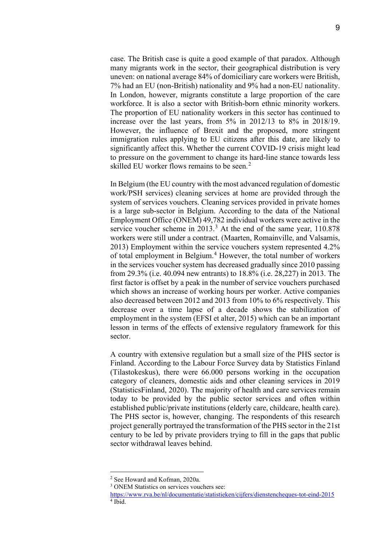case. The British case is quite a good example of that paradox. Although many migrants work in the sector, their geographical distribution is very uneven: on national average 84% of domiciliary care workers were British, 7% had an EU (non-British) nationality and 9% had a non-EU nationality. In London, however, migrants constitute a large proportion of the care workforce. It is also a sector with British-born ethnic minority workers. The proportion of EU nationality workers in this sector has continued to increase over the last years, from 5% in 2012/13 to 8% in 2018/19. However, the influence of Brexit and the proposed, more stringent immigration rules applying to EU citizens after this date, are likely to significantly affect this. Whether the current COVID-19 crisis might lead to pressure on the government to change its hard-line stance towards less skilled EU worker flows remains to be seen.<sup>[2](#page-8-0)</sup>

In Belgium (the EU country with the most advanced regulation of domestic work/PSH services) cleaning services at home are provided through the system of services vouchers. Cleaning services provided in private homes is a large sub-sector in Belgium. According to the data of the National Employment Office (ONEM) 49,782 individual workers were active in the service voucher scheme in  $2013<sup>3</sup>$  $2013<sup>3</sup>$  $2013<sup>3</sup>$ . At the end of the same year, 110.878 workers were still under a contract. (Maarten, Romainville, and Valsamis, 2013) Employment within the service vouchers system represented 4.2% of total employment in Belgium.<sup>[4](#page-8-2)</sup> However, the total number of workers in the services voucher system has decreased gradually since 2010 passing from 29.3% (i.e. 40.094 new entrants) to 18.8% (i.e. 28,227) in 2013. The first factor is offset by a peak in the number of service vouchers purchased which shows an increase of working hours per worker. Active companies also decreased between 2012 and 2013 from 10% to 6% respectively. This decrease over a time lapse of a decade shows the stabilization of employment in the system (EFSI et alter, 2015) which can be an important lesson in terms of the effects of extensive regulatory framework for this sector.

A country with extensive regulation but a small size of the PHS sector is Finland. According to the Labour Force Survey data by Statistics Finland (Tilastokeskus), there were 66.000 persons working in the occupation category of cleaners, domestic aids and other cleaning services in 2019 (StatisticsFinland, 2020). The majority of health and care services remain today to be provided by the public sector services and often within established public/private institutions (elderly care, childcare, health care). The PHS sector is, however, changing. The respondents of this research project generally portrayed the transformation of the PHS sector in the 21st century to be led by private providers trying to fill in the gaps that public sector withdrawal leaves behind.

<span id="page-8-0"></span><sup>2</sup> See Howard and Kofman, 2020a.

<sup>&</sup>lt;sup>3</sup> ONEM Statistics on services vouchers see:

<span id="page-8-2"></span><span id="page-8-1"></span><https://www.rva.be/nl/documentatie/statistieken/cijfers/dienstencheques-tot-eind-2015>  $4$  Ibid.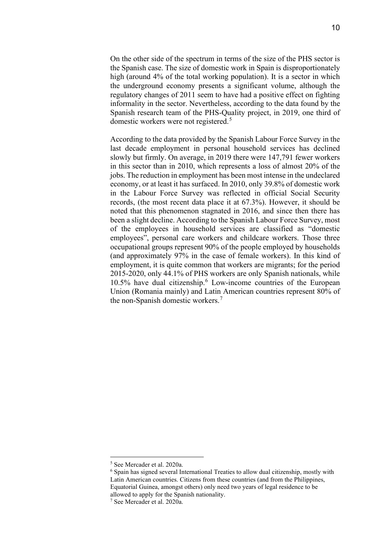On the other side of the spectrum in terms of the size of the PHS sector is the Spanish case. The size of domestic work in Spain is disproportionately high (around 4% of the total working population). It is a sector in which the underground economy presents a significant volume, although the regulatory changes of 2011 seem to have had a positive effect on fighting informality in the sector. Nevertheless, according to the data found by the Spanish research team of the PHS-Quality project, in 2019, one third of domestic workers were not registered.<sup>[5](#page-9-0)</sup>

According to the data provided by the Spanish Labour Force Survey in the last decade employment in personal household services has declined slowly but firmly. On average, in 2019 there were 147,791 fewer workers in this sector than in 2010, which represents a loss of almost 20% of the jobs. The reduction in employment has been most intense in the undeclared economy, or at least it has surfaced. In 2010, only 39.8% of domestic work in the Labour Force Survey was reflected in official Social Security records, (the most recent data place it at 67.3%). However, it should be noted that this phenomenon stagnated in 2016, and since then there has been a slight decline. According to the Spanish Labour Force Survey, most of the employees in household services are classified as "domestic employees", personal care workers and childcare workers. Those three occupational groups represent 90% of the people employed by households (and approximately 97% in the case of female workers). In this kind of employment, it is quite common that workers are migrants; for the period 2015-2020, only 44.1% of PHS workers are only Spanish nationals, while 10.5% have dual citizenship. [6](#page-9-1) Low-income countries of the European Union (Romania mainly) and Latin American countries represent 80% of the non-Spanish domestic workers.<sup>[7](#page-9-2)</sup>

<span id="page-9-0"></span><sup>5</sup> See Mercader et al. 2020a.

<span id="page-9-1"></span><sup>6</sup> Spain has signed several International Treaties to allow dual citizenship, mostly with Latin American countries. Citizens from these countries (and from the Philippines, Equatorial Guinea, amongst others) only need two years of legal residence to be allowed to apply for the Spanish nationality.

<span id="page-9-2"></span><sup>7</sup> See Mercader et al. 2020a.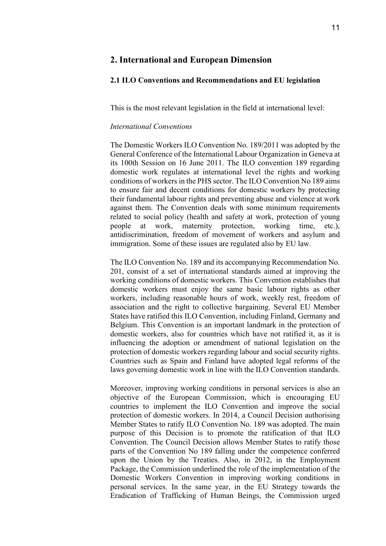# **2. International and European Dimension**

#### <span id="page-10-0"></span>**2.1 ILO Conventions and Recommendations and EU legislation**

This is the most relevant legislation in the field at international level:

#### *International Conventions*

The Domestic Workers ILO Convention No. 189/2011 was adopted by the General Conference of the International Labour Organization in Geneva at its 100th Session on 16 June 2011. The ILO convention 189 regarding domestic work regulates at international level the rights and working conditions of workers in the PHS sector. The ILO Convention No 189 aims to ensure fair and decent conditions for domestic workers by protecting their fundamental labour rights and preventing abuse and violence at work against them. The Convention deals with some minimum requirements related to social policy (health and safety at work, protection of young people at work, maternity protection, working time, etc.), antidiscrimination, freedom of movement of workers and asylum and immigration. Some of these issues are regulated also by EU law.

The ILO Convention No. 189 and its accompanying Recommendation No. 201, consist of a set of international standards aimed at improving the working conditions of domestic workers. This Convention establishes that domestic workers must enjoy the same basic labour rights as other workers, including reasonable hours of work, weekly rest, freedom of association and the right to collective bargaining. Several EU Member States have ratified this ILO Convention, including Finland, Germany and Belgium. This Convention is an important landmark in the protection of domestic workers, also for countries which have not ratified it, as it is influencing the adoption or amendment of national legislation on the protection of domestic workers regarding labour and social security rights. Countries such as Spain and Finland have adopted legal reforms of the laws governing domestic work in line with the ILO Convention standards.

Moreover, improving working conditions in personal services is also an objective of the European Commission, which is encouraging EU countries to implement the ILO Convention and improve the social protection of domestic workers. In 2014, a Council Decision authorising Member States to ratify ILO Convention No. 189 was adopted. The main purpose of this Decision is to promote the ratification of that ILO Convention. The Council Decision allows Member States to ratify those parts of the Convention No 189 falling under the competence conferred upon the Union by the Treaties. Also, in 2012, in the Employment Package, the Commission underlined the role of the implementation of the Domestic Workers Convention in improving working conditions in personal services. In the same year, in the EU Strategy towards the Eradication of Trafficking of Human Beings, the Commission urged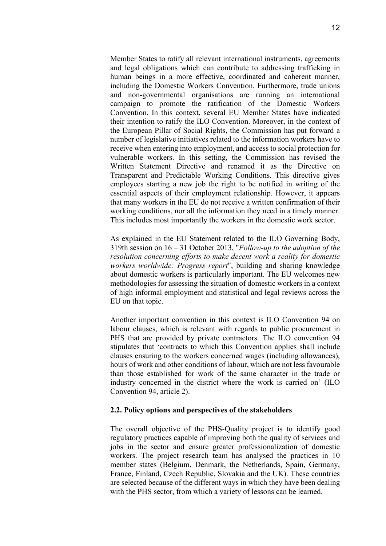Member States to ratify all relevant international instruments, agreements and legal obligations which can contribute to addressing trafficking in human beings in a more effective, coordinated and coherent manner, including the Domestic Workers Convention. Furthermore, trade unions and non-governmental organisations are running an international campaign to promote the ratification of the Domestic Workers Convention. In this context, several EU Member States have indicated their intention to ratify the ILO Convention. Moreover, in the context of the European Pillar of Social Rights, the Commission has put forward a number of legislative initiatives related to the information workers have to receive when entering into employment, and access to social protection for vulnerable workers. In this setting, the Commission has revised the Written Statement Directive and renamed it as the Directive on Transparent and Predictable Working Conditions. This directive gives employees starting a new job the right to be notified in writing of the essential aspects of their employment relationship. However, it appears that many workers in the EU do not receive a written confirmation of their working conditions, nor all the information they need in a timely manner. This includes most importantly the workers in the domestic work sector.

As explained in the EU Statement related to the ILO Governing Body, 319th session on 16 – 31 October 2013, "*Follow-up to the adoption of the resolution concerning efforts to make decent work a reality for domestic workers worldwide: Progress report*", building and sharing knowledge about domestic workers is particularly important. The EU welcomes new methodologies for assessing the situation of domestic workers in a context of high informal employment and statistical and legal reviews across the EU on that topic.

Another important convention in this context is ILO Convention 94 on labour clauses, which is relevant with regards to public procurement in PHS that are provided by private contractors. The ILO convention 94 stipulates that 'contracts to which this Convention applies shall include clauses ensuring to the workers concerned wages (including allowances), hours of work and other conditions of labour, which are not less favourable than those established for work of the same character in the trade or industry concerned in the district where the work is carried on' (ILO Convention 94, article 2).

#### **2.2. Policy options and perspectives of the stakeholders**

The overall objective of the PHS-Quality project is to identify good regulatory practices capable of improving both the quality of services and jobs in the sector and ensure greater professionalization of domestic workers. The project research team has analysed the practices in 10 member states (Belgium, Denmark, the Netherlands, Spain, Germany, France, Finland, Czech Republic, Slovakia and the UK). These countries are selected because of the different ways in which they have been dealing with the PHS sector, from which a variety of lessons can be learned.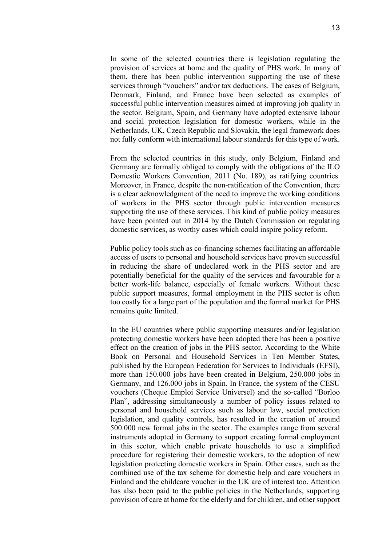In some of the selected countries there is legislation regulating the provision of services at home and the quality of PHS work. In many of them, there has been public intervention supporting the use of these services through "vouchers" and/or tax deductions. The cases of Belgium, Denmark, Finland, and France have been selected as examples of successful public intervention measures aimed at improving job quality in the sector. Belgium, Spain, and Germany have adopted extensive labour and social protection legislation for domestic workers, while in the Netherlands, UK, Czech Republic and Slovakia, the legal framework does not fully conform with international labour standards for this type of work.

From the selected countries in this study, only Belgium, Finland and Germany are formally obliged to comply with the obligations of the ILO Domestic Workers Convention, 2011 (No. 189), as ratifying countries. Moreover, in France, despite the non-ratification of the Convention, there is a clear acknowledgment of the need to improve the working conditions of workers in the PHS sector through public intervention measures supporting the use of these services. This kind of public policy measures have been pointed out in 2014 by the Dutch Commission on regulating domestic services, as worthy cases which could inspire policy reform.

Public policy tools such as co-financing schemes facilitating an affordable access of users to personal and household services have proven successful in reducing the share of undeclared work in the PHS sector and are potentially beneficial for the quality of the services and favourable for a better work-life balance, especially of female workers. Without these public support measures, formal employment in the PHS sector is often too costly for a large part of the population and the formal market for PHS remains quite limited.

In the EU countries where public supporting measures and/or legislation protecting domestic workers have been adopted there has been a positive effect on the creation of jobs in the PHS sector. According to the White Book on Personal and Household Services in Ten Member States, published by the European Federation for Services to Individuals (EFSI), more than 150.000 jobs have been created in Belgium, 250.000 jobs in Germany, and 126.000 jobs in Spain. In France, the system of the CESU vouchers (Cheque Emploi Service Universel) and the so-called "Borloo Plan", addressing simultaneously a number of policy issues related to personal and household services such as labour law, social protection legislation, and quality controls, has resulted in the creation of around 500.000 new formal jobs in the sector. The examples range from several instruments adopted in Germany to support creating formal employment in this sector, which enable private households to use a simplified procedure for registering their domestic workers, to the adoption of new legislation protecting domestic workers in Spain. Other cases, such as the combined use of the tax scheme for domestic help and care vouchers in Finland and the childcare voucher in the UK are of interest too. Attention has also been paid to the public policies in the Netherlands, supporting provision of care at home for the elderly and for children, and other support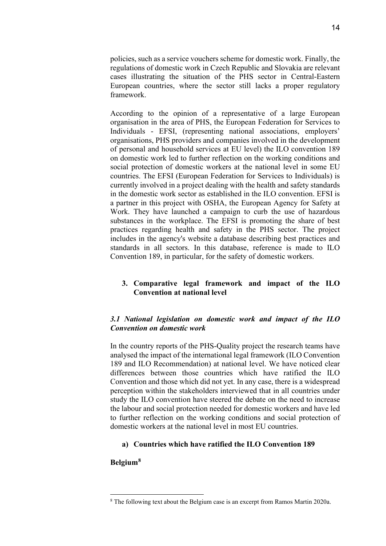policies, such as a service vouchers scheme for domestic work. Finally, the regulations of domestic work in Czech Republic and Slovakia are relevant cases illustrating the situation of the PHS sector in Central-Eastern European countries, where the sector still lacks a proper regulatory framework.

According to the opinion of a representative of a large European organisation in the area of PHS, the European Federation for Services to Individuals - EFSI, (representing national associations, employers' organisations, PHS providers and companies involved in the development of personal and household services at EU level) the ILO convention 189 on domestic work led to further reflection on the working conditions and social protection of domestic workers at the national level in some EU countries. The EFSI (European Federation for Services to Individuals) is currently involved in a project dealing with the health and safety standards in the domestic work sector as established in the ILO convention. EFSI is a partner in this project with OSHA, the European Agency for Safety at Work. They have launched a campaign to curb the use of hazardous substances in the workplace. The EFSI is promoting the share of best practices regarding health and safety in the PHS sector. The project includes in the agency's website a database describing best practices and standards in all sectors. In this database, reference is made to ILO Convention 189, in particular, for the safety of domestic workers.

# <span id="page-13-0"></span>**3. Comparative legal framework and impact of the ILO Convention at national level**

# *3.1 National legislation on domestic work and impact of the ILO Convention on domestic work*

In the country reports of the PHS-Quality project the research teams have analysed the impact of the international legal framework (ILO Convention 189 and ILO Recommendation) at national level. We have noticed clear differences between those countries which have ratified the ILO Convention and those which did not yet. In any case, there is a widespread perception within the stakeholders interviewed that in all countries under study the ILO convention have steered the debate on the need to increase the labour and social protection needed for domestic workers and have led to further reflection on the working conditions and social protection of domestic workers at the national level in most EU countries.

# **a) Countries which have ratified the ILO Convention 189**

#### **Belgium[8](#page-13-1)**

<span id="page-13-1"></span><sup>&</sup>lt;sup>8</sup> The following text about the Belgium case is an excerpt from Ramos Martin 2020a.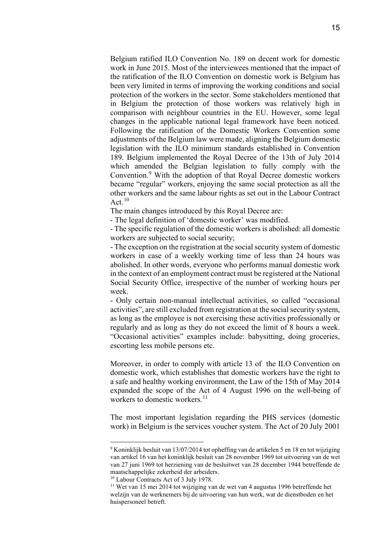Belgium ratified ILO Convention No. 189 on decent work for domestic work in June 2015. Most of the interviewees mentioned that the impact of the ratification of the ILO Convention on domestic work is Belgium has been very limited in terms of improving the working conditions and social protection of the workers in the sector. Some stakeholders mentioned that in Belgium the protection of those workers was relatively high in comparison with neighbour countries in the EU. However, some legal changes in the applicable national legal framework have been noticed. Following the ratification of the Domestic Workers Convention some adjustments of the Belgium law were made, aligning the Belgium domestic legislation with the ILO minimum standards established in Convention 189. Belgium implemented the Royal Decree of the 13th of July 2014 which amended the Belgian legislation to fully comply with the Convention.[9](#page-14-0) With the adoption of that Royal Decree domestic workers became "regular" workers, enjoying the same social protection as all the other workers and the same labour rights as set out in the Labour Contract Act. $10$ 

The main changes introduced by this Royal Decree are:

- The legal definition of 'domestic worker' was modified.

- The specific regulation of the domestic workers is abolished: all domestic workers are subjected to social security;

- The exception on the registration at the social security system of domestic workers in case of a weekly working time of less than 24 hours was abolished. In other words, everyone who performs manual domestic work in the context of an employment contract must be registered at the National Social Security Office, irrespective of the number of working hours per week.

- Only certain non-manual intellectual activities, so called "occasional activities", are still excluded from registration at the social security system, as long as the employee is not exercising these activities professionally or regularly and as long as they do not exceed the limit of 8 hours a week. "Occasional activities" examples include: babysitting, doing groceries, escorting less mobile persons etc.

Moreover, in order to comply with article 13 of the ILO Convention on domestic work, which establishes that domestic workers have the right to a safe and healthy working environment, the Law of the 15th of May 2014 expanded the scope of the Act of 4 August 1996 on the well-being of workers to domestic workers.<sup>[11](#page-14-2)</sup>

The most important legislation regarding the PHS services (domestic work) in Belgium is the services voucher system. The Act of 20 July 2001

<span id="page-14-0"></span><sup>9</sup> Koninklijk besluit van 13/07/2014 tot opheffing van de artikelen 5 en 18 en tot wijziging van artikel 16 van het koninklijk besluit van 28 november 1969 tot uitvoering van de wet van 27 juni 1969 tot herziening van de besluitwet van 28 december 1944 betreffende de maatschappelijke zekerheid der arbeiders.<br><sup>10</sup> Labour Contracts Act of 3 July 1978.

<span id="page-14-2"></span><span id="page-14-1"></span> $11$  Wet van 15 mei 2014 tot wijziging van de wet van 4 augustus 1996 betreffende het welzijn van de werknemers bij de uitvoering van hun werk, wat de dienstboden en het huispersoneel betreft.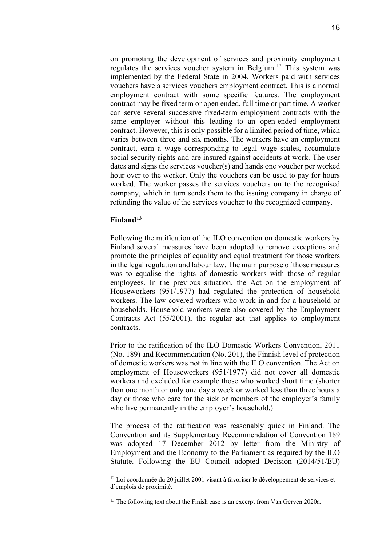on promoting the development of services and proximity employment regulates the services voucher system in Belgium.<sup>[12](#page-15-0)</sup> This system was implemented by the Federal State in 2004. Workers paid with services vouchers have a services vouchers employment contract. This is a normal employment contract with some specific features. The employment contract may be fixed term or open ended, full time or part time. A worker can serve several successive fixed-term employment contracts with the same employer without this leading to an open-ended employment contract. However, this is only possible for a limited period of time, which varies between three and six months. The workers have an employment contract, earn a wage corresponding to legal wage scales, accumulate social security rights and are insured against accidents at work. The user dates and signs the services voucher(s) and hands one voucher per worked hour over to the worker. Only the vouchers can be used to pay for hours worked. The worker passes the services vouchers on to the recognised company, which in turn sends them to the issuing company in charge of refunding the value of the services voucher to the recognized company.

## **Finland[13](#page-15-1)**

Following the ratification of the ILO convention on domestic workers by Finland several measures have been adopted to remove exceptions and promote the principles of equality and equal treatment for those workers in the legal regulation and labour law. The main purpose of those measures was to equalise the rights of domestic workers with those of regular employees. In the previous situation, the Act on the employment of Houseworkers (951/1977) had regulated the protection of household workers. The law covered workers who work in and for a household or households. Household workers were also covered by the Employment Contracts Act (55/2001), the regular act that applies to employment contracts.

Prior to the ratification of the ILO Domestic Workers Convention, 2011 (No. 189) and Recommendation (No. 201), the Finnish level of protection of domestic workers was not in line with the ILO convention. The Act on employment of Houseworkers (951/1977) did not cover all domestic workers and excluded for example those who worked short time (shorter than one month or only one day a week or worked less than three hours a day or those who care for the sick or members of the employer's family who live permanently in the employer's household.)

The process of the ratification was reasonably quick in Finland. The Convention and its Supplementary Recommendation of Convention 189 was adopted 17 December 2012 by letter from the Ministry of Employment and the Economy to the Parliament as required by the ILO Statute. Following the EU Council adopted Decision (2014/51/EU)

<span id="page-15-0"></span> $12$  Loi coordonnée du 20 juillet 2001 visant à favoriser le développement de services et d'emplois de proximité.

<span id="page-15-1"></span><sup>&</sup>lt;sup>13</sup> The following text about the Finish case is an excerpt from Van Gerven 2020a.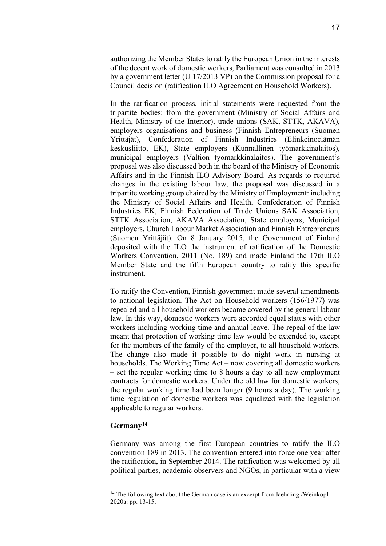authorizing the Member States to ratify the European Union in the interests of the decent work of domestic workers, Parliament was consulted in 2013 by a government letter (U 17/2013 VP) on the Commission proposal for a Council decision (ratification ILO Agreement on Household Workers).

In the ratification process, initial statements were requested from the tripartite bodies: from the government (Ministry of Social Affairs and Health, Ministry of the Interior), trade unions (SAK, STTK, AKAVA), employers organisations and business (Finnish Entrepreneurs (Suomen Yrittäjät), Confederation of Finnish Industries (Elinkeinoelämän keskusliitto, EK), State employers (Kunnallinen työmarkkinalaitos), municipal employers (Valtion työmarkkinalaitos). The government's proposal was also discussed both in the board of the Ministry of Economic Affairs and in the Finnish ILO Advisory Board. As regards to required changes in the existing labour law, the proposal was discussed in a tripartite working group chaired by the Ministry of Employment: including the Ministry of Social Affairs and Health, Confederation of Finnish Industries EK, Finnish Federation of Trade Unions SAK Association, STTK Association, AKAVA Association, State employers, Municipal employers, Church Labour Market Association and Finnish Entrepreneurs (Suomen Yrittäjät). On 8 January 2015, the Government of Finland deposited with the ILO the instrument of ratification of the Domestic Workers Convention, 2011 (No. 189) and made Finland the 17th ILO Member State and the fifth European country to ratify this specific instrument.

To ratify the Convention, Finnish government made several amendments to national legislation. The Act on Household workers (156/1977) was repealed and all household workers became covered by the general labour law. In this way, domestic workers were accorded equal status with other workers including working time and annual leave. The repeal of the law meant that protection of working time law would be extended to, except for the members of the family of the employer, to all household workers. The change also made it possible to do night work in nursing at households. The Working Time Act – now covering all domestic workers – set the regular working time to 8 hours a day to all new employment contracts for domestic workers. Under the old law for domestic workers, the regular working time had been longer (9 hours a day). The working time regulation of domestic workers was equalized with the legislation applicable to regular workers.

# **Germany[14](#page-16-0)**

Germany was among the first European countries to ratify the ILO convention 189 in 2013. The convention entered into force one year after the ratification, in September 2014. The ratification was welcomed by all political parties, academic observers and NGOs, in particular with a view

<span id="page-16-0"></span><sup>&</sup>lt;sup>14</sup> The following text about the German case is an excerpt from Jaehrling /Weinkopf 2020a: pp. 13-15.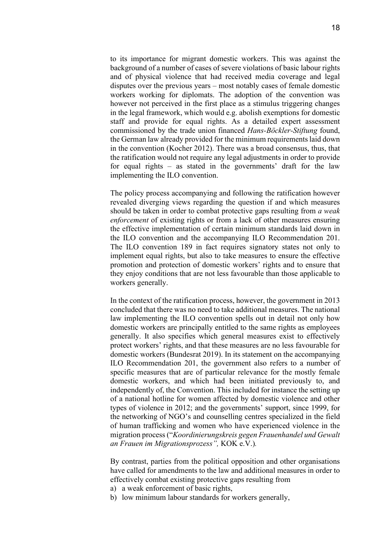to its importance for migrant domestic workers. This was against the background of a number of cases of severe violations of basic labour rights and of physical violence that had received media coverage and legal disputes over the previous years – most notably cases of female domestic workers working for diplomats. The adoption of the convention was however not perceived in the first place as a stimulus triggering changes in the legal framework, which would e.g. abolish exemptions for domestic staff and provide for equal rights. As a detailed expert assessment commissioned by the trade union financed *Hans-Böckler-Stiftung* found, the German law already provided for the minimum requirements laid down in the convention (Kocher 2012). There was a broad consensus, thus, that the ratification would not require any legal adjustments in order to provide for equal rights – as stated in the governments' draft for the law implementing the ILO convention.

The policy process accompanying and following the ratification however revealed diverging views regarding the question if and which measures should be taken in order to combat protective gaps resulting from *a weak enforcement* of existing rights or from a lack of other measures ensuring the effective implementation of certain minimum standards laid down in the ILO convention and the accompanying ILO Recommendation 201. The ILO convention 189 in fact requires signatory states not only to implement equal rights, but also to take measures to ensure the effective promotion and protection of domestic workers' rights and to ensure that they enjoy conditions that are not less favourable than those applicable to workers generally.

In the context of the ratification process, however, the government in 2013 concluded that there was no need to take additional measures. The national law implementing the ILO convention spells out in detail not only how domestic workers are principally entitled to the same rights as employees generally. It also specifies which general measures exist to effectively protect workers' rights, and that these measures are no less favourable for domestic workers (Bundesrat 2019). In its statement on the accompanying ILO Recommendation 201, the government also refers to a number of specific measures that are of particular relevance for the mostly female domestic workers, and which had been initiated previously to, and independently of, the Convention. This included for instance the setting up of a national hotline for women affected by domestic violence and other types of violence in 2012; and the governments' support, since 1999, for the networking of NGO's and counselling centres specialized in the field of human trafficking and women who have experienced violence in the migration process ("*Koordinierungskreis gegen Frauenhandel und Gewalt an Frauen im Migrationsprozess",* KOK e.V.)*.*

By contrast, parties from the political opposition and other organisations have called for amendments to the law and additional measures in order to effectively combat existing protective gaps resulting from

- a) a weak enforcement of basic rights,
- b) low minimum labour standards for workers generally,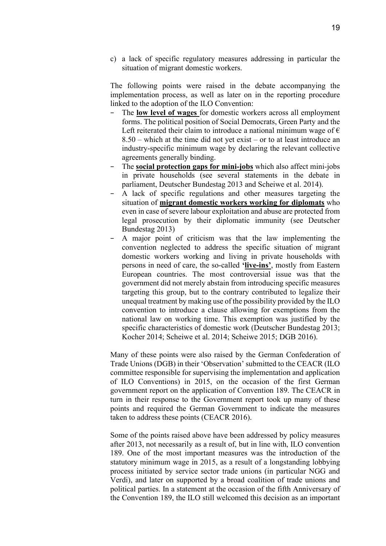c) a lack of specific regulatory measures addressing in particular the situation of migrant domestic workers.

The following points were raised in the debate accompanying the implementation process, as well as later on in the reporting procedure linked to the adoption of the ILO Convention:

- The **low level of wages** for domestic workers across all employment forms. The political position of Social Democrats, Green Party and the Left reiterated their claim to introduce a national minimum wage of  $\epsilon$ 8.50 – which at the time did not yet exist – or to at least introduce an industry-specific minimum wage by declaring the relevant collective agreements generally binding.
- The **social protection gaps for mini-jobs** which also affect mini-jobs in private households (see several statements in the debate in parliament, Deutscher Bundestag 2013 and Scheiwe et al. 2014).
- A lack of specific regulations and other measures targeting the situation of **migrant domestic workers working for diplomats** who even in case of severe labour exploitation and abuse are protected from legal prosecution by their diplomatic immunity (see Deutscher Bundestag 2013)
- A major point of criticism was that the law implementing the convention neglected to address the specific situation of migrant domestic workers working and living in private households with persons in need of care, the so-called **'live-ins'**, mostly from Eastern European countries. The most controversial issue was that the government did not merely abstain from introducing specific measures targeting this group, but to the contrary contributed to legalize their unequal treatment by making use of the possibility provided by the ILO convention to introduce a clause allowing for exemptions from the national law on working time. This exemption was justified by the specific characteristics of domestic work (Deutscher Bundestag 2013; Kocher 2014; Scheiwe et al. 2014; Scheiwe 2015; DGB 2016).

Many of these points were also raised by the German Confederation of Trade Unions (DGB) in their 'Observation' submitted to the CEACR (ILO committee responsible for supervising the implementation and application of ILO Conventions) in 2015, on the occasion of the first German government report on the application of Convention 189. The CEACR in turn in their response to the Government report took up many of these points and required the German Government to indicate the measures taken to address these points (CEACR 2016).

Some of the points raised above have been addressed by policy measures after 2013, not necessarily as a result of, but in line with, ILO convention 189. One of the most important measures was the introduction of the statutory minimum wage in 2015, as a result of a longstanding lobbying process initiated by service sector trade unions (in particular NGG and Verdi), and later on supported by a broad coalition of trade unions and political parties. In a statement at the occasion of the fifth Anniversary of the Convention 189, the ILO still welcomed this decision as an important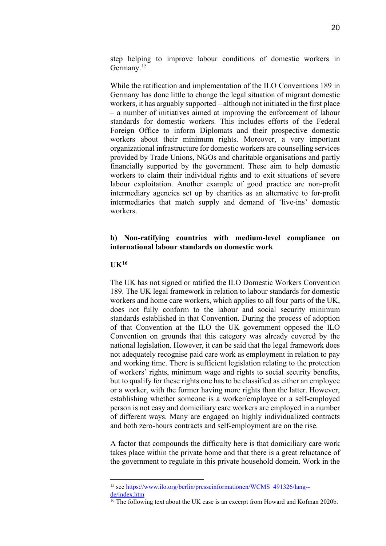step helping to improve labour conditions of domestic workers in Germany.<sup>[15](#page-19-0)</sup>

While the ratification and implementation of the ILO Conventions 189 in Germany has done little to change the legal situation of migrant domestic workers, it has arguably supported – although not initiated in the first place – a number of initiatives aimed at improving the enforcement of labour standards for domestic workers. This includes efforts of the Federal Foreign Office to inform Diplomats and their prospective domestic workers about their minimum rights. Moreover, a very important organizational infrastructure for domestic workers are counselling services provided by Trade Unions, NGOs and charitable organisations and partly financially supported by the government. These aim to help domestic workers to claim their individual rights and to exit situations of severe labour exploitation. Another example of good practice are non-profit intermediary agencies set up by charities as an alternative to for-profit intermediaries that match supply and demand of 'live-ins' domestic workers.

# **b) Non-ratifying countries with medium-level compliance on international labour standards on domestic work**

#### **UK[16](#page-19-1)**

The UK has not signed or ratified the ILO Domestic Workers Convention 189. The UK legal framework in relation to labour standards for domestic workers and home care workers, which applies to all four parts of the UK, does not fully conform to the labour and social security minimum standards established in that Convention. During the process of adoption of that Convention at the ILO the UK government opposed the ILO Convention on grounds that this category was already covered by the national legislation. However, it can be said that the legal framework does not adequately recognise paid care work as employment in relation to pay and working time. There is sufficient legislation relating to the protection of workers' rights, minimum wage and rights to social security benefits, but to qualify for these rights one has to be classified as either an employee or a worker, with the former having more rights than the latter. However, establishing whether someone is a worker/employee or a self-employed person is not easy and domiciliary care workers are employed in a number of different ways. Many are engaged on highly individualized contracts and both zero-hours contracts and self-employment are on the rise.

A factor that compounds the difficulty here is that domiciliary care work takes place within the private home and that there is a great reluctance of the government to regulate in this private household domein. Work in the

<span id="page-19-0"></span><sup>15</sup> see [https://www.ilo.org/berlin/presseinformationen/WCMS\\_491326/lang-](https://www.ilo.org/berlin/presseinformationen/WCMS_491326/lang--de/index.htm) [de/index.htm](https://www.ilo.org/berlin/presseinformationen/WCMS_491326/lang--de/index.htm)

<span id="page-19-1"></span><sup>&</sup>lt;sup>16</sup> The following text about the UK case is an excerpt from Howard and Kofman 2020b.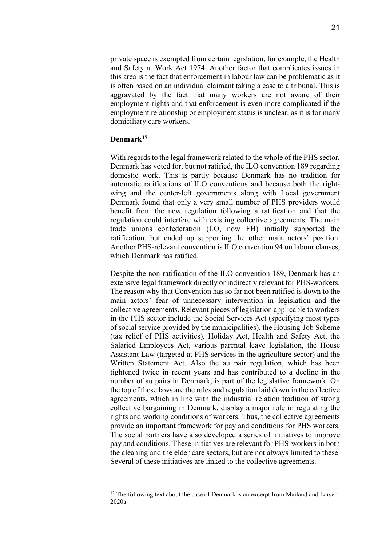private space is exempted from certain legislation, for example, the Health and Safety at Work Act 1974. Another factor that complicates issues in this area is the fact that enforcement in labour law can be problematic as it is often based on an individual claimant taking a case to a tribunal. This is aggravated by the fact that many workers are not aware of their employment rights and that enforcement is even more complicated if the employment relationship or employment status is unclear, as it is for many domiciliary care workers.

#### **Denmark[17](#page-20-0)**

With regards to the legal framework related to the whole of the PHS sector, Denmark has voted for, but not ratified, the ILO convention 189 regarding domestic work. This is partly because Denmark has no tradition for automatic ratifications of ILO conventions and because both the rightwing and the center-left governments along with Local government Denmark found that only a very small number of PHS providers would benefit from the new regulation following a ratification and that the regulation could interfere with existing collective agreements. The main trade unions confederation (LO, now FH) initially supported the ratification, but ended up supporting the other main actors' position. Another PHS-relevant convention is ILO convention 94 on labour clauses, which Denmark has ratified.

Despite the non-ratification of the ILO convention 189, Denmark has an extensive legal framework directly or indirectly relevant for PHS-workers. The reason why that Convention has so far not been ratified is down to the main actors' fear of unnecessary intervention in legislation and the collective agreements. Relevant pieces of legislation applicable to workers in the PHS sector include the Social Services Act (specifying most types of social service provided by the municipalities), the Housing-Job Scheme (tax relief of PHS activities), Holiday Act, Health and Safety Act, the Salaried Employees Act, various parental leave legislation, the House Assistant Law (targeted at PHS services in the agriculture sector) and the Written Statement Act. Also the au pair regulation, which has been tightened twice in recent years and has contributed to a decline in the number of au pairs in Denmark, is part of the legislative framework. On the top of these laws are the rules and regulation laid down in the collective agreements, which in line with the industrial relation tradition of strong collective bargaining in Denmark, display a major role in regulating the rights and working conditions of workers. Thus, the collective agreements provide an important framework for pay and conditions for PHS workers. The social partners have also developed a series of initiatives to improve pay and conditions. These initiatives are relevant for PHS-workers in both the cleaning and the elder care sectors, but are not always limited to these. Several of these initiatives are linked to the collective agreements.

<span id="page-20-0"></span><sup>&</sup>lt;sup>17</sup> The following text about the case of Denmark is an excerpt from Mailand and Larsen 2020a.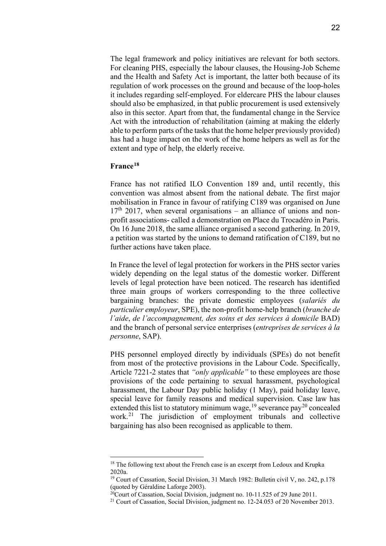The legal framework and policy initiatives are relevant for both sectors. For cleaning PHS, especially the labour clauses, the Housing-Job Scheme and the Health and Safety Act is important, the latter both because of its regulation of work processes on the ground and because of the loop-holes it includes regarding self-employed. For eldercare PHS the labour clauses should also be emphasized, in that public procurement is used extensively also in this sector. Apart from that, the fundamental change in the Service Act with the introduction of rehabilitation (aiming at making the elderly able to perform parts of the tasks that the home helper previously provided) has had a huge impact on the work of the home helpers as well as for the extent and type of help, the elderly receive.

#### **France[18](#page-21-0)**

France has not ratified ILO Convention 189 and, until recently, this convention was almost absent from the national debate. The first major mobilisation in France in favour of ratifying C189 was organised on June  $17<sup>th</sup>$  2017, when several organisations – an alliance of unions and nonprofit associations- called a demonstration on Place du Trocadéro in Paris. On 16 June 2018, the same alliance organised a second gathering. In 2019, a petition was started by the unions to demand ratification of C189, but no further actions have taken place.

In France the level of legal protection for workers in the PHS sector varies widely depending on the legal status of the domestic worker. Different levels of legal protection have been noticed. The research has identified three main groups of workers corresponding to the three collective bargaining branches: the private domestic employees (*salariés du particulier employeur*, SPE), the non-profit home-help branch (*branche de l'aide*, *de l'accompagnement, des soins et des services à domicile* BAD) and the branch of personal service enterprises (*entreprises de services à la personne*, SAP).

PHS personnel employed directly by individuals (SPEs) do not benefit from most of the protective provisions in the Labour Code. Specifically, Article 7221-2 states that *"only applicable"* to these employees are those provisions of the code pertaining to sexual harassment, psychological harassment, the Labour Day public holiday (1 May), paid holiday leave, special leave for family reasons and medical supervision. Case law has extended this list to statutory minimum wage,  $^{19}$  $^{19}$  $^{19}$  severance pay<sup>[20](#page-21-2)</sup> concealed work.<sup>[21](#page-21-3)</sup> The jurisdiction of employment tribunals and collective bargaining has also been recognised as applicable to them.

<span id="page-21-0"></span><sup>&</sup>lt;sup>18</sup> The following text about the French case is an excerpt from Ledoux and Krupka 2020a.

<span id="page-21-1"></span><sup>&</sup>lt;sup>19</sup> Court of Cassation, Social Division, 31 March 1982: Bulletin civil V, no. 242, p.178 (quoted by Géraldine Laforge 2003).

<span id="page-21-2"></span> $20$ Court of Cassation, Social Division, judgment no. 10-11.525 of 29 June 2011.

<span id="page-21-3"></span><sup>&</sup>lt;sup>21</sup> Court of Cassation, Social Division, judgment no. 12-24.053 of 20 November 2013.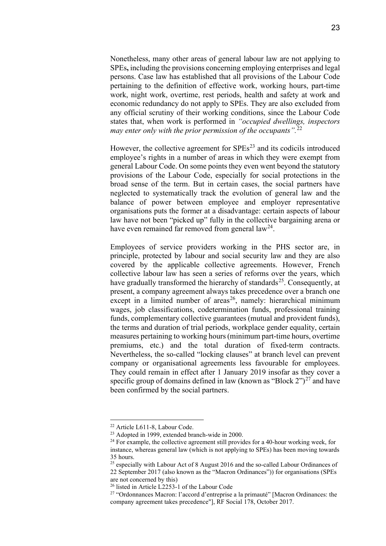Nonetheless, many other areas of general labour law are not applying to SPEs**,** including the provisions concerning employing enterprises and legal persons. Case law has established that all provisions of the Labour Code pertaining to the definition of effective work, working hours, part-time work, night work, overtime, rest periods, health and safety at work and economic redundancy do not apply to SPEs. They are also excluded from any official scrutiny of their working conditions, since the Labour Code states that, when work is performed in *"occupied dwellings, inspectors may enter only with the prior permission of the occupants".*[22](#page-22-0)

However, the collective agreement for  $SPEs<sup>23</sup>$  $SPEs<sup>23</sup>$  $SPEs<sup>23</sup>$  and its codicils introduced employee's rights in a number of areas in which they were exempt from general Labour Code. On some points they even went beyond the statutory provisions of the Labour Code, especially for social protections in the broad sense of the term. But in certain cases, the social partners have neglected to systematically track the evolution of general law and the balance of power between employee and employer representative organisations puts the former at a disadvantage: certain aspects of labour law have not been "picked up" fully in the collective bargaining arena or have even remained far removed from general  $law<sup>24</sup>$ .

Employees of service providers working in the PHS sector are, in principle, protected by labour and social security law and they are also covered by the applicable collective agreements. However, French collective labour law has seen a series of reforms over the years, which have gradually transformed the hierarchy of standards<sup>[25](#page-22-3)</sup>. Consequently, at present, a company agreement always takes precedence over a branch one except in a limited number of areas<sup>[26](#page-22-4)</sup>, namely: hierarchical minimum wages, job classifications, codetermination funds, professional training funds, complementary collective guarantees (mutual and provident funds), the terms and duration of trial periods, workplace gender equality, certain measures pertaining to working hours (minimum part-time hours, overtime premiums, etc.) and the total duration of fixed-term contracts. Nevertheless, the so-called "locking clauses" at branch level can prevent company or organisational agreements less favourable for employees. They could remain in effect after 1 January 2019 insofar as they cover a specific group of domains defined in law (known as "Block  $2"$ )<sup>[27](#page-22-5)</sup> and have been confirmed by the social partners.

<sup>22</sup> Article L611-8, Labour Code.

<span id="page-22-1"></span><span id="page-22-0"></span><sup>23</sup> Adopted in 1999, extended branch-wide in 2000.

<span id="page-22-2"></span> $24$  For example, the collective agreement still provides for a 40-hour working week, for instance, whereas general law (which is not applying to SPEs) has been moving towards 35 hours.

<span id="page-22-3"></span><sup>&</sup>lt;sup>25</sup> especially with Labour Act of 8 August 2016 and the so-called Labour Ordinances of 22 September 2017 (also known as the "Macron Ordinances")) for organisations (SPEs are not concerned by this)

<sup>26</sup> listed in Article L2253-1 of the Labour Code

<span id="page-22-5"></span><span id="page-22-4"></span><sup>27</sup> "Ordonnances Macron: l'accord d'entreprise a la primauté" [Macron Ordinances: the company agreement takes precedence"], RF Social 178, October 2017.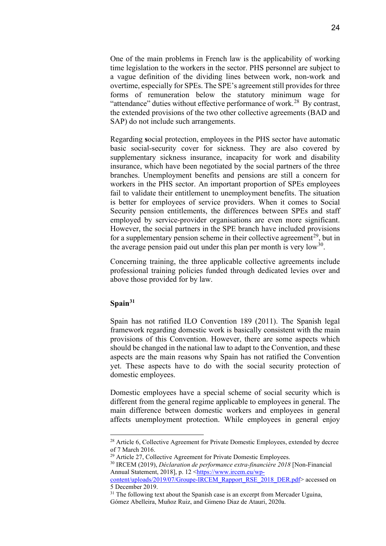One of the main problems in French law is the applicability of working time legislation to the workers in the sector. PHS personnel are subject to a vague definition of the dividing lines between work, non-work and overtime, especially for SPEs. The SPE's agreement still provides for three forms of remuneration below the statutory minimum wage for "attendance" duties without effective performance of work.<sup>28</sup> By contrast, the extended provisions of the two other collective agreements (BAD and SAP) do not include such arrangements.

Regarding **s**ocial protection, employees in the PHS sector have automatic basic social-security cover for sickness. They are also covered by supplementary sickness insurance, incapacity for work and disability insurance, which have been negotiated by the social partners of the three branches. Unemployment benefits and pensions are still a concern for workers in the PHS sector. An important proportion of SPEs employees fail to validate their entitlement to unemployment benefits. The situation is better for employees of service providers. When it comes to Social Security pension entitlements, the differences between SPEs and staff employed by service-provider organisations are even more significant. However, the social partners in the SPE branch have included provisions for a supplementary pension scheme in their collective agreement<sup>29</sup>, but in the average pension paid out under this plan per month is very low<sup>30</sup>.

Concerning training, the three applicable collective agreements include professional training policies funded through dedicated levies over and above those provided for by law.

#### **Spain[31](#page-23-3)**

Spain has not ratified ILO Convention 189 (2011). The Spanish legal framework regarding domestic work is basically consistent with the main provisions of this Convention. However, there are some aspects which should be changed in the national law to adapt to the Convention, and these aspects are the main reasons why Spain has not ratified the Convention yet. These aspects have to do with the social security protection of domestic employees.

Domestic employees have a special scheme of social security which is different from the general regime applicable to employees in general. The main difference between domestic workers and employees in general affects unemployment protection. While employees in general enjoy

<span id="page-23-0"></span><sup>&</sup>lt;sup>28</sup> Article 6, Collective Agreement for Private Domestic Employees, extended by decree of 7 March 2016.

<sup>&</sup>lt;sup>29</sup> Article 27, Collective Agreement for Private Domestic Employees.

<span id="page-23-2"></span><span id="page-23-1"></span><sup>30</sup> IRCEM (2019), *Déclaration de performance extra-financière 2018* [Non-Financial Annual Statement, 2018], p. 12 [<https://www.ircem.eu/wp-](https://www.ircem.eu/wp-content/uploads/2019/07/Groupe-IRCEM_Rapport_RSE_2018_DER.pdf)

[content/uploads/2019/07/Groupe-IRCEM\\_Rapport\\_RSE\\_2018\\_DER.pdf>](https://www.ircem.eu/wp-content/uploads/2019/07/Groupe-IRCEM_Rapport_RSE_2018_DER.pdf) accessed on 5 December 2019.

<span id="page-23-3"></span> $31$  The following text about the Spanish case is an excerpt from Mercader Uguina, Gómez Abelleira, Muñoz Ruiz, and Gimeno Diaz de Atauri, 2020a.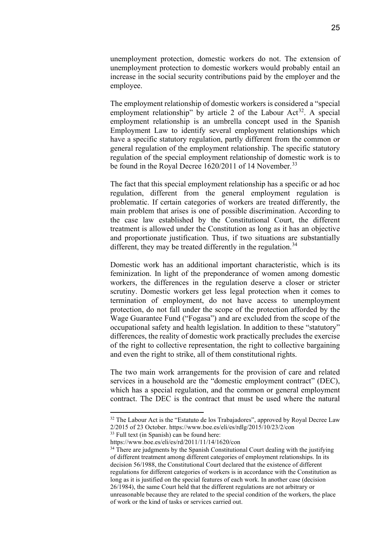unemployment protection, domestic workers do not. The extension of unemployment protection to domestic workers would probably entail an increase in the social security contributions paid by the employer and the employee.

The employment relationship of domestic workers is considered a "special employment relationship" by article 2 of the Labour Act<sup>32</sup>. A special employment relationship is an umbrella concept used in the Spanish Employment Law to identify several employment relationships which have a specific statutory regulation, partly different from the common or general regulation of the employment relationship. The specific statutory regulation of the special employment relationship of domestic work is to be found in the Royal Decree 1620/2011 of 14 November.<sup>[33](#page-24-1)</sup>

The fact that this special employment relationship has a specific or ad hoc regulation, different from the general employment regulation is problematic. If certain categories of workers are treated differently, the main problem that arises is one of possible discrimination. According to the case law established by the Constitutional Court, the different treatment is allowed under the Constitution as long as it has an objective and proportionate justification. Thus, if two situations are substantially different, they may be treated differently in the regulation.<sup>[34](#page-24-2)</sup>

Domestic work has an additional important characteristic, which is its feminization. In light of the preponderance of women among domestic workers, the differences in the regulation deserve a closer or stricter scrutiny. Domestic workers get less legal protection when it comes to termination of employment, do not have access to unemployment protection, do not fall under the scope of the protection afforded by the Wage Guarantee Fund ("Fogasa") and are excluded from the scope of the occupational safety and health legislation. In addition to these "statutory" differences, the reality of domestic work practically precludes the exercise of the right to collective representation, the right to collective bargaining and even the right to strike, all of them constitutional rights.

The two main work arrangements for the provision of care and related services in a household are the "domestic employment contract" (DEC), which has a special regulation, and the common or general employment contract. The DEC is the contract that must be used where the natural

<span id="page-24-0"></span><sup>&</sup>lt;sup>32</sup> The Labour Act is the "Estatuto de los Trabajadores", approved by Royal Decree Law 2/2015 of 23 October. https://www.boe.es/eli/es/rdlg/2015/10/23/2/con

<span id="page-24-1"></span><sup>&</sup>lt;sup>33</sup> Full text (in Spanish) can be found here:

https://www.boe.es/eli/es/rd/2011/11/14/1620/con

<span id="page-24-2"></span> $34$  There are judgments by the Spanish Constitutional Court dealing with the justifying of different treatment among different categories of employment relationships. In its decision 56/1988, the Constitutional Court declared that the existence of different regulations for different categories of workers is in accordance with the Constitution as long as it is justified on the special features of each work. In another case (decision 26/1984), the same Court held that the different regulations are not arbitrary or unreasonable because they are related to the special condition of the workers, the place of work or the kind of tasks or services carried out.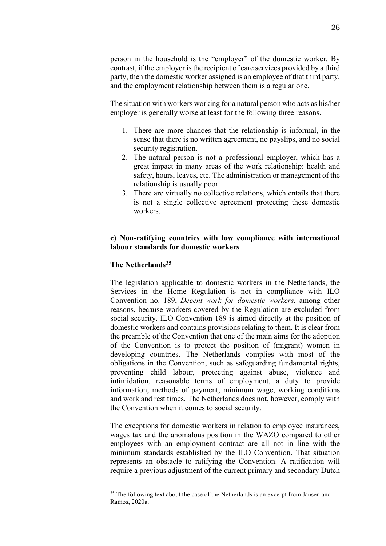person in the household is the "employer" of the domestic worker. By contrast, if the employer is the recipient of care services provided by a third party, then the domestic worker assigned is an employee of that third party, and the employment relationship between them is a regular one.

The situation with workers working for a natural person who acts as his/her employer is generally worse at least for the following three reasons.

- 1. There are more chances that the relationship is informal, in the sense that there is no written agreement, no payslips, and no social security registration.
- 2. The natural person is not a professional employer, which has a great impact in many areas of the work relationship: health and safety, hours, leaves, etc. The administration or management of the relationship is usually poor.
- 3. There are virtually no collective relations, which entails that there is not a single collective agreement protecting these domestic workers.

# **c) Non-ratifying countries with low compliance with international labour standards for domestic workers**

# **The Netherlands[35](#page-25-0)**

The legislation applicable to domestic workers in the Netherlands, the Services in the Home Regulation is not in compliance with ILO Convention no. 189, *Decent work for domestic workers*, among other reasons, because workers covered by the Regulation are excluded from social security. ILO Convention 189 is aimed directly at the position of domestic workers and contains provisions relating to them. It is clear from the preamble of the Convention that one of the main aims for the adoption of the Convention is to protect the position of (migrant) women in developing countries. The Netherlands complies with most of the obligations in the Convention, such as safeguarding fundamental rights, preventing child labour, protecting against abuse, violence and intimidation, reasonable terms of employment, a duty to provide information, methods of payment, minimum wage, working conditions and work and rest times. The Netherlands does not, however, comply with the Convention when it comes to social security.

The exceptions for domestic workers in relation to employee insurances, wages tax and the anomalous position in the WAZO compared to other employees with an employment contract are all not in line with the minimum standards established by the ILO Convention. That situation represents an obstacle to ratifying the Convention. A ratification will require a previous adjustment of the current primary and secondary Dutch

<span id="page-25-0"></span><sup>&</sup>lt;sup>35</sup> The following text about the case of the Netherlands is an excerpt from Jansen and Ramos, 2020a.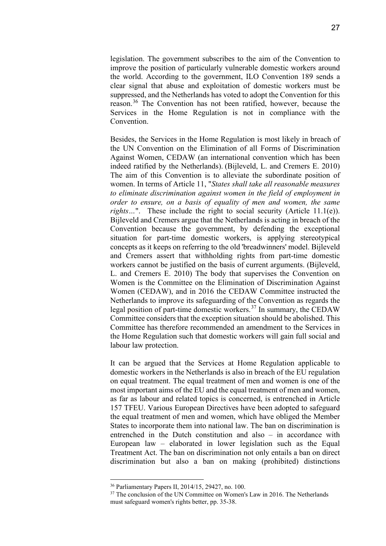legislation. The government subscribes to the aim of the Convention to improve the position of particularly vulnerable domestic workers around the world. According to the government, ILO Convention 189 sends a clear signal that abuse and exploitation of domestic workers must be suppressed, and the Netherlands has voted to adopt the Convention for this reason.<sup>[36](#page-26-0)</sup> The Convention has not been ratified, however, because the Services in the Home Regulation is not in compliance with the Convention.

Besides, the Services in the Home Regulation is most likely in breach of the UN Convention on the Elimination of all Forms of Discrimination Against Women, CEDAW (an international convention which has been indeed ratified by the Netherlands). (Bijleveld, L. and Cremers E. 2010) The aim of this Convention is to alleviate the subordinate position of women. In terms of Article 11, "*States shall take all reasonable measures to eliminate discrimination against women in the field of employment in order to ensure, on a basis of equality of men and women, the same rights*…". These include the right to social security (Article 11.1(e)). Bijleveld and Cremers argue that the Netherlands is acting in breach of the Convention because the government, by defending the exceptional situation for part-time domestic workers, is applying stereotypical concepts as it keeps on referring to the old 'breadwinners' model. Bijleveld and Cremers assert that withholding rights from part-time domestic workers cannot be justified on the basis of current arguments. (Bijleveld, L. and Cremers E. 2010) The body that supervises the Convention on Women is the Committee on the Elimination of Discrimination Against Women (CEDAW), and in 2016 the CEDAW Committee instructed the Netherlands to improve its safeguarding of the Convention as regards the legal position of part-time domestic workers.[37](#page-26-1) In summary, the CEDAW Committee considers that the exception situation should be abolished. This Committee has therefore recommended an amendment to the Services in the Home Regulation such that domestic workers will gain full social and labour law protection.

It can be argued that the Services at Home Regulation applicable to domestic workers in the Netherlands is also in breach of the EU regulation on equal treatment. The equal treatment of men and women is one of the most important aims of the EU and the equal treatment of men and women, as far as labour and related topics is concerned, is entrenched in Article 157 TFEU. Various European Directives have been adopted to safeguard the equal treatment of men and women, which have obliged the Member States to incorporate them into national law. The ban on discrimination is entrenched in the Dutch constitution and also – in accordance with European law – elaborated in lower legislation such as the Equal Treatment Act. The ban on discrimination not only entails a ban on direct discrimination but also a ban on making (prohibited) distinctions

<sup>36</sup> Parliamentary Papers II, 2014/15, 29427, no. 100.

<span id="page-26-1"></span><span id="page-26-0"></span> $37$  The conclusion of the UN Committee on Women's Law in 2016. The Netherlands must safeguard women's rights better, pp. 35-38.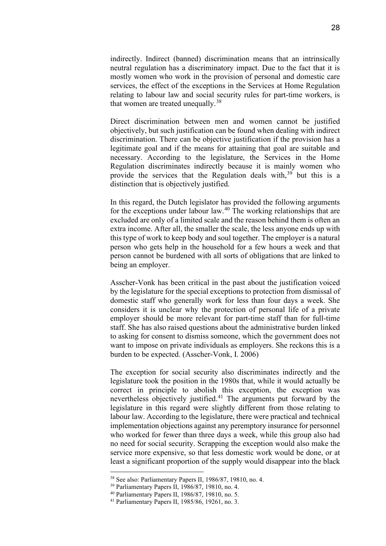indirectly. Indirect (banned) discrimination means that an intrinsically neutral regulation has a discriminatory impact. Due to the fact that it is mostly women who work in the provision of personal and domestic care services, the effect of the exceptions in the Services at Home Regulation relating to labour law and social security rules for part-time workers, is that women are treated unequally.<sup>[38](#page-27-0)</sup>

Direct discrimination between men and women cannot be justified objectively, but such justification can be found when dealing with indirect discrimination. There can be objective justification if the provision has a legitimate goal and if the means for attaining that goal are suitable and necessary. According to the legislature, the Services in the Home Regulation discriminates indirectly because it is mainly women who provide the services that the Regulation deals with, $39$  but this is a distinction that is objectively justified.

In this regard, the Dutch legislator has provided the following arguments for the exceptions under labour law.[40](#page-27-2) The working relationships that are excluded are only of a limited scale and the reason behind them is often an extra income. After all, the smaller the scale, the less anyone ends up with this type of work to keep body and soul together. The employer is a natural person who gets help in the household for a few hours a week and that person cannot be burdened with all sorts of obligations that are linked to being an employer.

Asscher-Vonk has been critical in the past about the justification voiced by the legislature for the special exceptions to protection from dismissal of domestic staff who generally work for less than four days a week. She considers it is unclear why the protection of personal life of a private employer should be more relevant for part-time staff than for full-time staff. She has also raised questions about the administrative burden linked to asking for consent to dismiss someone, which the government does not want to impose on private individuals as employers. She reckons this is a burden to be expected. (Asscher-Vonk, I. 2006)

The exception for social security also discriminates indirectly and the legislature took the position in the 1980s that, while it would actually be correct in principle to abolish this exception, the exception was nevertheless objectively justified.<sup>[41](#page-27-3)</sup> The arguments put forward by the legislature in this regard were slightly different from those relating to labour law. According to the legislature, there were practical and technical implementation objections against any peremptory insurance for personnel who worked for fewer than three days a week, while this group also had no need for social security. Scrapping the exception would also make the service more expensive, so that less domestic work would be done, or at least a significant proportion of the supply would disappear into the black

<span id="page-27-0"></span><sup>38</sup> See also: Parliamentary Papers II, 1986/87, 19810, no. 4.

<span id="page-27-1"></span><sup>39</sup> Parliamentary Papers II, 1986/87, 19810, no. 4.

<sup>40</sup> Parliamentary Papers II, 1986/87, 19810, no. 5.

<span id="page-27-3"></span><span id="page-27-2"></span><sup>41</sup> Parliamentary Papers II, 1985/86, 19261, no. 3.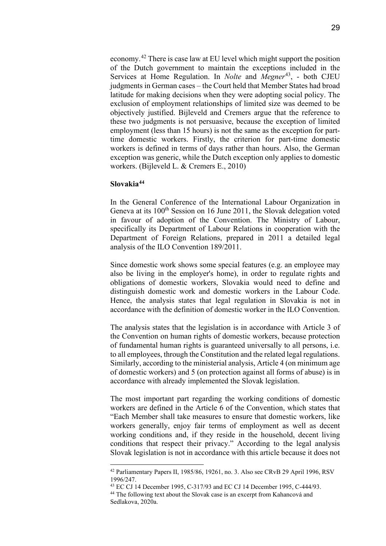economy.[42](#page-28-0) There is case law at EU level which might support the position of the Dutch government to maintain the exceptions included in the Services at Home Regulation. In *Nolte* and *Megner*[43](#page-28-1), - both CJEU judgments in German cases – the Court held that Member States had broad latitude for making decisions when they were adopting social policy. The exclusion of employment relationships of limited size was deemed to be objectively justified. Bijleveld and Cremers argue that the reference to these two judgments is not persuasive, because the exception of limited employment (less than 15 hours) is not the same as the exception for parttime domestic workers. Firstly, the criterion for part-time domestic workers is defined in terms of days rather than hours. Also, the German exception was generic, while the Dutch exception only applies to domestic workers. (Bijleveld L. & Cremers E., 2010)

#### **Slovakia[44](#page-28-2)**

In the General Conference of the International Labour Organization in Geneva at its 100<sup>th</sup> Session on 16 June 2011, the Slovak delegation voted in favour of adoption of the Convention. The Ministry of Labour, specifically its Department of Labour Relations in cooperation with the Department of Foreign Relations, prepared in 2011 a detailed legal analysis of the ILO Convention 189/2011.

Since domestic work shows some special features (e.g. an employee may also be living in the employer's home), in order to regulate rights and obligations of domestic workers, Slovakia would need to define and distinguish domestic work and domestic workers in the Labour Code. Hence, the analysis states that legal regulation in Slovakia is not in accordance with the definition of domestic worker in the ILO Convention.

The analysis states that the legislation is in accordance with Article 3 of the Convention on human rights of domestic workers, because protection of fundamental human rights is guaranteed universally to all persons, i.e. to all employees, through the Constitution and the related legal regulations. Similarly, according to the ministerial analysis, Article 4 (on minimum age of domestic workers) and 5 (on protection against all forms of abuse) is in accordance with already implemented the Slovak legislation.

The most important part regarding the working conditions of domestic workers are defined in the Article 6 of the Convention, which states that "Each Member shall take measures to ensure that domestic workers, like workers generally, enjoy fair terms of employment as well as decent working conditions and, if they reside in the household, decent living conditions that respect their privacy." According to the legal analysis Slovak legislation is not in accordance with this article because it does not

<span id="page-28-0"></span><sup>42</sup> Parliamentary Papers II, 1985/86, 19261, no. 3. Also see CRvB 29 April 1996, RSV 1996/247.

<sup>43</sup> EC CJ 14 December 1995, C-317/93 and EC CJ 14 December 1995, C-444/93.

<span id="page-28-2"></span><span id="page-28-1"></span><sup>&</sup>lt;sup>44</sup> The following text about the Slovak case is an excerpt from Kahancová and Sedlakova, 2020a.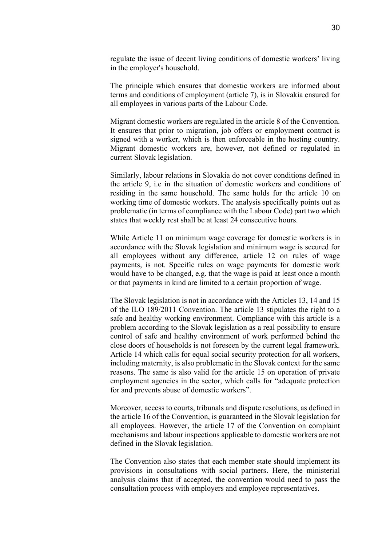regulate the issue of decent living conditions of domestic workers' living in the employer's household.

The principle which ensures that domestic workers are informed about terms and conditions of employment (article 7), is in Slovakia ensured for all employees in various parts of the Labour Code.

Migrant domestic workers are regulated in the article 8 of the Convention. It ensures that prior to migration, job offers or employment contract is signed with a worker, which is then enforceable in the hosting country. Migrant domestic workers are, however, not defined or regulated in current Slovak legislation.

Similarly, labour relations in Slovakia do not cover conditions defined in the article 9, i.e in the situation of domestic workers and conditions of residing in the same household. The same holds for the article 10 on working time of domestic workers. The analysis specifically points out as problematic (in terms of compliance with the Labour Code) part two which states that weekly rest shall be at least 24 consecutive hours.

While Article 11 on minimum wage coverage for domestic workers is in accordance with the Slovak legislation and minimum wage is secured for all employees without any difference, article 12 on rules of wage payments, is not. Specific rules on wage payments for domestic work would have to be changed, e.g. that the wage is paid at least once a month or that payments in kind are limited to a certain proportion of wage.

The Slovak legislation is not in accordance with the Articles 13, 14 and 15 of the ILO 189/2011 Convention. The article 13 stipulates the right to a safe and healthy working environment. Compliance with this article is a problem according to the Slovak legislation as a real possibility to ensure control of safe and healthy environment of work performed behind the close doors of households is not foreseen by the current legal framework. Article 14 which calls for equal social security protection for all workers, including maternity, is also problematic in the Slovak context for the same reasons. The same is also valid for the article 15 on operation of private employment agencies in the sector, which calls for "adequate protection for and prevents abuse of domestic workers".

Moreover, access to courts, tribunals and dispute resolutions, as defined in the article 16 of the Convention, is guaranteed in the Slovak legislation for all employees. However, the article 17 of the Convention on complaint mechanisms and labour inspections applicable to domestic workers are not defined in the Slovak legislation.

The Convention also states that each member state should implement its provisions in consultations with social partners. Here, the ministerial analysis claims that if accepted, the convention would need to pass the consultation process with employers and employee representatives.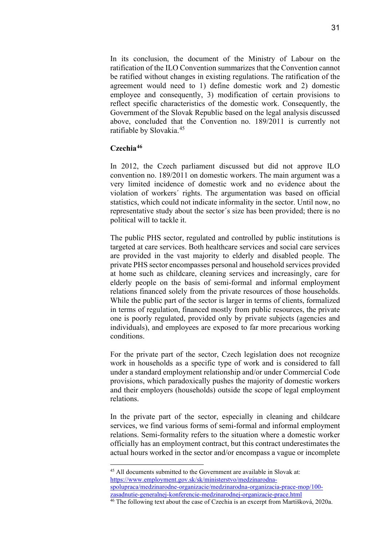In its conclusion, the document of the Ministry of Labour on the ratification of the ILO Convention summarizes that the Convention cannot be ratified without changes in existing regulations. The ratification of the agreement would need to 1) define domestic work and 2) domestic employee and consequently, 3) modification of certain provisions to reflect specific characteristics of the domestic work. Consequently, the Government of the Slovak Republic based on the legal analysis discussed above, concluded that the Convention no. 189/2011 is currently not ratifiable by Slovakia.[45](#page-30-0)

#### **Czechia[46](#page-30-1)**

In 2012, the Czech parliament discussed but did not approve ILO convention no. 189/2011 on domestic workers. The main argument was a very limited incidence of domestic work and no evidence about the violation of workers´ rights. The argumentation was based on official statistics, which could not indicate informality in the sector. Until now, no representative study about the sector´s size has been provided; there is no political will to tackle it.

The public PHS sector, regulated and controlled by public institutions is targeted at care services. Both healthcare services and social care services are provided in the vast majority to elderly and disabled people. The private PHS sector encompasses personal and household services provided at home such as childcare, cleaning services and increasingly, care for elderly people on the basis of semi-formal and informal employment relations financed solely from the private resources of those households. While the public part of the sector is larger in terms of clients, formalized in terms of regulation, financed mostly from public resources, the private one is poorly regulated, provided only by private subjects (agencies and individuals), and employees are exposed to far more precarious working conditions.

For the private part of the sector, Czech legislation does not recognize work in households as a specific type of work and is considered to fall under a standard employment relationship and/or under Commercial Code provisions, which paradoxically pushes the majority of domestic workers and their employers (households) outside the scope of legal employment relations.

In the private part of the sector, especially in cleaning and childcare services, we find various forms of semi-formal and informal employment relations. Semi-formality refers to the situation where a domestic worker officially has an employment contract, but this contract underestimates the actual hours worked in the sector and/or encompass a vague or incomplete

<span id="page-30-0"></span><sup>45</sup> All documents submitted to the Government are available in Slovak at: [https://www.employment.gov.sk/sk/ministerstvo/medzinarodna](https://www.employment.gov.sk/sk/ministerstvo/medzinarodna-spolupraca/medzinarodne-organizacie/medzinarodna-organizacia-prace-mop/100-zasadnutie-generalnej-konferencie-medzinarodnej-organizacie-prace.html)[spolupraca/medzinarodne-organizacie/medzinarodna-organizacia-prace-mop/100](https://www.employment.gov.sk/sk/ministerstvo/medzinarodna-spolupraca/medzinarodne-organizacie/medzinarodna-organizacia-prace-mop/100-zasadnutie-generalnej-konferencie-medzinarodnej-organizacie-prace.html) [zasadnutie-generalnej-konferencie-medzinarodnej-organizacie-prace.html](https://www.employment.gov.sk/sk/ministerstvo/medzinarodna-spolupraca/medzinarodne-organizacie/medzinarodna-organizacia-prace-mop/100-zasadnutie-generalnej-konferencie-medzinarodnej-organizacie-prace.html)

<span id="page-30-1"></span><sup>&</sup>lt;sup>46</sup> The following text about the case of Czechia is an excerpt from Martišková, 2020a.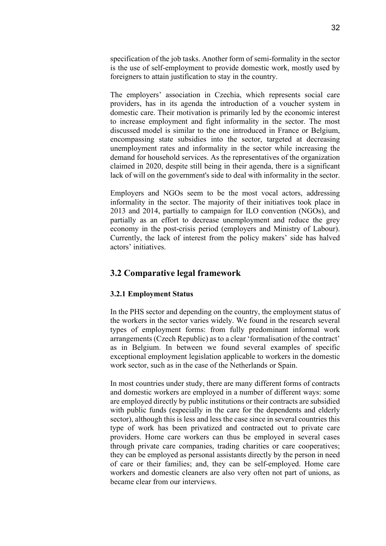specification of the job tasks. Another form of semi-formality in the sector is the use of self-employment to provide domestic work, mostly used by foreigners to attain justification to stay in the country.

The employers' association in Czechia, which represents social care providers, has in its agenda the introduction of a voucher system in domestic care. Their motivation is primarily led by the economic interest to increase employment and fight informality in the sector. The most discussed model is similar to the one introduced in France or Belgium, encompassing state subsidies into the sector, targeted at decreasing unemployment rates and informality in the sector while increasing the demand for household services. As the representatives of the organization claimed in 2020, despite still being in their agenda, there is a significant lack of will on the government's side to deal with informality in the sector.

Employers and NGOs seem to be the most vocal actors, addressing informality in the sector. The majority of their initiatives took place in 2013 and 2014, partially to campaign for ILO convention (NGOs), and partially as an effort to decrease unemployment and reduce the grey economy in the post-crisis period (employers and Ministry of Labour). Currently, the lack of interest from the policy makers' side has halved actors' initiatives.

# <span id="page-31-0"></span>**3.2 Comparative legal framework**

#### <span id="page-31-1"></span>**3.2.1 Employment Status**

In the PHS sector and depending on the country, the employment status of the workers in the sector varies widely. We found in the research several types of employment forms: from fully predominant informal work arrangements (Czech Republic) as to a clear 'formalisation of the contract' as in Belgium. In between we found several examples of specific exceptional employment legislation applicable to workers in the domestic work sector, such as in the case of the Netherlands or Spain.

In most countries under study, there are many different forms of contracts and domestic workers are employed in a number of different ways: some are employed directly by public institutions or their contracts are subsidied with public funds (especially in the care for the dependents and elderly sector), although this is less and less the case since in several countries this type of work has been privatized and contracted out to private care providers. Home care workers can thus be employed in several cases through private care companies, trading charities or care cooperatives; they can be employed as personal assistants directly by the person in need of care or their families; and, they can be self-employed. Home care workers and domestic cleaners are also very often not part of unions, as became clear from our interviews.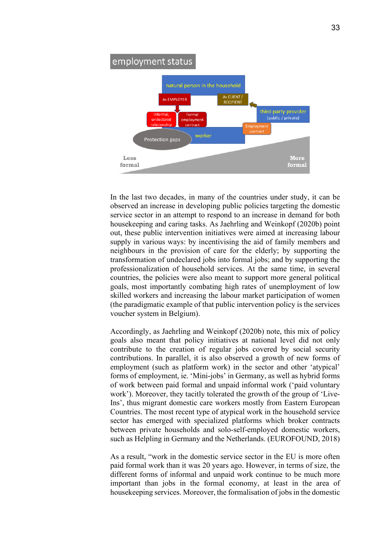

In the last two decades, in many of the countries under study, it can be observed an increase in developing public policies targeting the domestic service sector in an attempt to respond to an increase in demand for both housekeeping and caring tasks. As Jaehrling and Weinkopf (2020b) point out, these public intervention initiatives were aimed at increasing labour supply in various ways: by incentivising the aid of family members and neighbours in the provision of care for the elderly; by supporting the transformation of undeclared jobs into formal jobs; and by supporting the professionalization of household services. At the same time, in several countries, the policies were also meant to support more general political goals, most importantly combating high rates of unemployment of low skilled workers and increasing the labour market participation of women (the paradigmatic example of that public intervention policy is the services voucher system in Belgium).

Accordingly, as Jaehrling and Weinkopf (2020b) note, this mix of policy goals also meant that policy initiatives at national level did not only contribute to the creation of regular jobs covered by social security contributions. In parallel, it is also observed a growth of new forms of employment (such as platform work) in the sector and other 'atypical' forms of employment, ie. 'Mini-jobs' in Germany, as well as hybrid forms of work between paid formal and unpaid informal work ('paid voluntary work'). Moreover, they tacitly tolerated the growth of the group of 'Live-Ins', thus migrant domestic care workers mostly from Eastern European Countries. The most recent type of atypical work in the household service sector has emerged with specialized platforms which broker contracts between private households and solo-self-employed domestic workers, such as Helpling in Germany and the Netherlands. (EUROFOUND, 2018)

As a result, "work in the domestic service sector in the EU is more often paid formal work than it was 20 years ago. However, in terms of size, the different forms of informal and unpaid work continue to be much more important than jobs in the formal economy, at least in the area of housekeeping services. Moreover, the formalisation of jobs in the domestic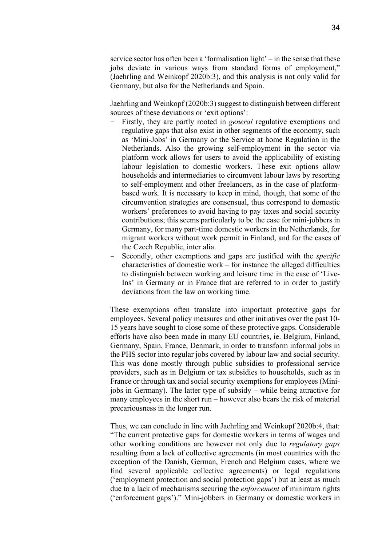service sector has often been a 'formalisation light' – in the sense that these jobs deviate in various ways from standard forms of employment," (Jaehrling and Weinkopf 2020b:3), and this analysis is not only valid for Germany, but also for the Netherlands and Spain.

Jaehrling and Weinkopf (2020b:3) suggest to distinguish between different sources of these deviations or 'exit options':

- Firstly, they are partly rooted in *general* regulative exemptions and regulative gaps that also exist in other segments of the economy, such as 'Mini-Jobs' in Germany or the Service at home Regulation in the Netherlands. Also the growing self-employment in the sector via platform work allows for users to avoid the applicability of existing labour legislation to domestic workers. These exit options allow households and intermediaries to circumvent labour laws by resorting to self-employment and other freelancers, as in the case of platformbased work. It is necessary to keep in mind, though, that some of the circumvention strategies are consensual, thus correspond to domestic workers' preferences to avoid having to pay taxes and social security contributions; this seems particularly to be the case for mini-jobbers in Germany, for many part-time domestic workers in the Netherlands, for migrant workers without work permit in Finland, and for the cases of the Czech Republic, inter alia.
- − Secondly, other exemptions and gaps are justified with the *specific* characteristics of domestic work – for instance the alleged difficulties to distinguish between working and leisure time in the case of 'Live-Ins' in Germany or in France that are referred to in order to justify deviations from the law on working time.

These exemptions often translate into important protective gaps for employees. Several policy measures and other initiatives over the past 10- 15 years have sought to close some of these protective gaps. Considerable efforts have also been made in many EU countries, ie. Belgium, Finland, Germany, Spain, France, Denmark, in order to transform informal jobs in the PHS sector into regular jobs covered by labour law and social security. This was done mostly through public subsidies to professional service providers, such as in Belgium or tax subsidies to households, such as in France or through tax and social security exemptions for employees (Minijobs in Germany). The latter type of subsidy – while being attractive for many employees in the short run – however also bears the risk of material precariousness in the longer run.

Thus, we can conclude in line with Jaehrling and Weinkopf 2020b:4, that: "The current protective gaps for domestic workers in terms of wages and other working conditions are however not only due to *regulatory gaps* resulting from a lack of collective agreements (in most countries with the exception of the Danish, German, French and Belgium cases, where we find several applicable collective agreements) or legal regulations ('employment protection and social protection gaps') but at least as much due to a lack of mechanisms securing the *enforcement* of minimum rights ('enforcement gaps')." Mini-jobbers in Germany or domestic workers in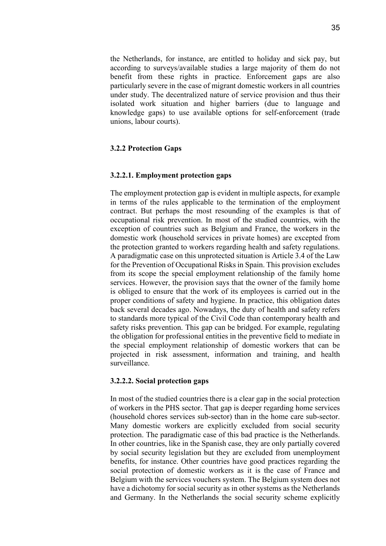the Netherlands, for instance, are entitled to holiday and sick pay, but according to surveys/available studies a large majority of them do not benefit from these rights in practice. Enforcement gaps are also particularly severe in the case of migrant domestic workers in all countries under study. The decentralized nature of service provision and thus their isolated work situation and higher barriers (due to language and knowledge gaps) to use available options for self-enforcement (trade unions, labour courts).

#### **3.2.2 Protection Gaps**

#### <span id="page-34-0"></span>**3.2.2.1. Employment protection gaps**

The employment protection gap is evident in multiple aspects, for example in terms of the rules applicable to the termination of the employment contract. But perhaps the most resounding of the examples is that of occupational risk prevention. In most of the studied countries, with the exception of countries such as Belgium and France, the workers in the domestic work (household services in private homes) are excepted from the protection granted to workers regarding health and safety regulations. A paradigmatic case on this unprotected situation is Article 3.4 of the Law for the Prevention of Occupational Risks in Spain. This provision excludes from its scope the special employment relationship of the family home services. However, the provision says that the owner of the family home is obliged to ensure that the work of its employees is carried out in the proper conditions of safety and hygiene. In practice, this obligation dates back several decades ago. Nowadays, the duty of health and safety refers to standards more typical of the Civil Code than contemporary health and safety risks prevention. This gap can be bridged. For example, regulating the obligation for professional entities in the preventive field to mediate in the special employment relationship of domestic workers that can be projected in risk assessment, information and training, and health surveillance.

#### **3.2.2.2. Social protection gaps**

In most of the studied countries there is a clear gap in the social protection of workers in the PHS sector. That gap is deeper regarding home services (household chores services sub-sector) than in the home care sub-sector. Many domestic workers are explicitly excluded from social security protection. The paradigmatic case of this bad practice is the Netherlands. In other countries, like in the Spanish case, they are only partially covered by social security legislation but they are excluded from unemployment benefits, for instance. Other countries have good practices regarding the social protection of domestic workers as it is the case of France and Belgium with the services vouchers system. The Belgium system does not have a dichotomy for social security as in other systems as the Netherlands and Germany. In the Netherlands the social security scheme explicitly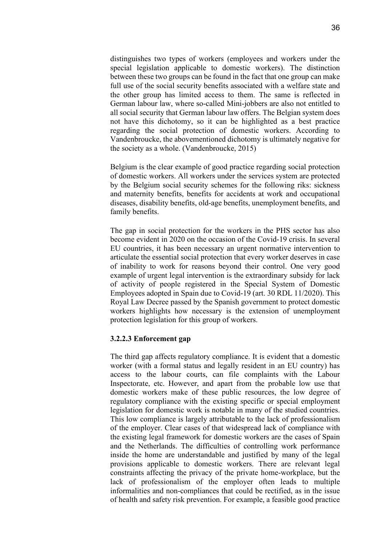distinguishes two types of workers (employees and workers under the special legislation applicable to domestic workers). The distinction between these two groups can be found in the fact that one group can make full use of the social security benefits associated with a welfare state and the other group has limited access to them. The same is reflected in German labour law, where so-called Mini-jobbers are also not entitled to all social security that German labour law offers. The Belgian system does not have this dichotomy, so it can be highlighted as a best practice regarding the social protection of domestic workers. According to Vandenbroucke, the abovementioned dichotomy is ultimately negative for the society as a whole. (Vandenbroucke, 2015)

Belgium is the clear example of good practice regarding social protection of domestic workers. All workers under the services system are protected by the Belgium social security schemes for the following riks: sickness and maternity benefits, benefits for accidents at work and occupational diseases, disability benefits, old-age benefits, unemployment benefits, and family benefits.

The gap in social protection for the workers in the PHS sector has also become evident in 2020 on the occasion of the Covid-19 crisis. In several EU countries, it has been necessary an urgent normative intervention to articulate the essential social protection that every worker deserves in case of inability to work for reasons beyond their control. One very good example of urgent legal intervention is the extraordinary subsidy for lack of activity of people registered in the Special System of Domestic Employees adopted in Spain due to Covid-19 (art. 30 RDL 11/2020). This Royal Law Decree passed by the Spanish government to protect domestic workers highlights how necessary is the extension of unemployment protection legislation for this group of workers.

#### **3.2.2.3 Enforcement gap**

The third gap affects regulatory compliance. It is evident that a domestic worker (with a formal status and legally resident in an EU country) has access to the labour courts, can file complaints with the Labour Inspectorate, etc. However, and apart from the probable low use that domestic workers make of these public resources, the low degree of regulatory compliance with the existing specific or special employment legislation for domestic work is notable in many of the studied countries. This low compliance is largely attributable to the lack of professionalism of the employer. Clear cases of that widespread lack of compliance with the existing legal framework for domestic workers are the cases of Spain and the Netherlands. The difficulties of controlling work performance inside the home are understandable and justified by many of the legal provisions applicable to domestic workers. There are relevant legal constraints affecting the privacy of the private home-workplace, but the lack of professionalism of the employer often leads to multiple informalities and non-compliances that could be rectified, as in the issue of health and safety risk prevention. For example, a feasible good practice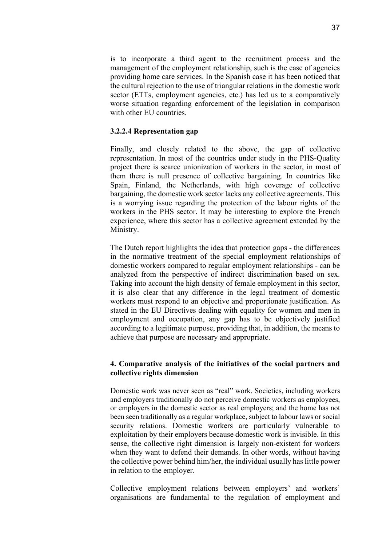is to incorporate a third agent to the recruitment process and the management of the employment relationship, such is the case of agencies providing home care services. In the Spanish case it has been noticed that the cultural rejection to the use of triangular relations in the domestic work sector (ETTs, employment agencies, etc.) has led us to a comparatively worse situation regarding enforcement of the legislation in comparison with other EU countries.

### **3.2.2.4 Representation gap**

Finally, and closely related to the above, the gap of collective representation. In most of the countries under study in the PHS-Quality project there is scarce unionization of workers in the sector, in most of them there is null presence of collective bargaining. In countries like Spain, Finland, the Netherlands, with high coverage of collective bargaining, the domestic work sector lacks any collective agreements. This is a worrying issue regarding the protection of the labour rights of the workers in the PHS sector. It may be interesting to explore the French experience, where this sector has a collective agreement extended by the Ministry.

The Dutch report highlights the idea that protection gaps - the differences in the normative treatment of the special employment relationships of domestic workers compared to regular employment relationships - can be analyzed from the perspective of indirect discrimination based on sex. Taking into account the high density of female employment in this sector, it is also clear that any difference in the legal treatment of domestic workers must respond to an objective and proportionate justification. As stated in the EU Directives dealing with equality for women and men in employment and occupation, any gap has to be objectively justified according to a legitimate purpose, providing that, in addition, the means to achieve that purpose are necessary and appropriate.

### **4. Comparative analysis of the initiatives of the social partners and collective rights dimension**

Domestic work was never seen as "real" work. Societies, including workers and employers traditionally do not perceive domestic workers as employees, or employers in the domestic sector as real employers; and the home has not been seen traditionally as a regular workplace, subject to labour laws or social security relations. Domestic workers are particularly vulnerable to exploitation by their employers because domestic work is invisible. In this sense, the collective right dimension is largely non-existent for workers when they want to defend their demands. In other words, without having the collective power behind him/her, the individual usually has little power in relation to the employer.

Collective employment relations between employers' and workers' organisations are fundamental to the regulation of employment and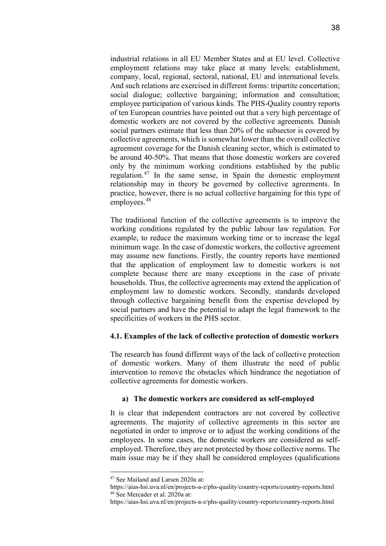industrial relations in all EU Member States and at EU level. Collective employment relations may take place at many levels: establishment, company, local, regional, sectoral, national, EU and international levels. And such relations are exercised in different forms[: tripartite concertation;](https://www.eurofound.europa.eu/observatories/eurwork/industrial-relations-dictionary/tripartite-concertation) [social dialogue;](https://www.eurofound.europa.eu/observatories/eurwork/industrial-relations-dictionary/social-dialogue) [collective bargaining;](https://www.eurofound.europa.eu/observatories/eurwork/industrial-relations-dictionary/collective-bargaining) [information and consultation;](https://www.eurofound.europa.eu/observatories/eurwork/industrial-relations-dictionary/information-and-consultation) employee [participation o](https://www.eurofound.europa.eu/observatories/eurwork/industrial-relations-dictionary/participation)f various kinds. The PHS-Quality country reports of ten European countries have pointed out that a very high percentage of domestic workers are not covered by the collective agreements. Danish social partners estimate that less than 20% of the subsector is covered by collective agreements, which is somewhat lower than the overall collective agreement coverage for the Danish cleaning sector, which is estimated to be around 40-50%. That means that those domestic workers are covered only by the minimum working conditions established by the public regulation.[47](#page-37-0) In the same sense, in Spain the domestic employment relationship may in theory be governed by collective agreements. In practice, however, there is no actual collective bargaining for this type of employees.<sup>[48](#page-37-1)</sup>

The traditional function of the collective agreements is to improve the working conditions regulated by the public labour law regulation. For example, to reduce the maximum working time or to increase the legal minimum wage. In the case of domestic workers, the collective agreement may assume new functions. Firstly, the country reports have mentioned that the application of employment law to domestic workers is not complete because there are many exceptions in the case of private households. Thus, the collective agreements may extend the application of employment law to domestic workers. Secondly, standards developed through collective bargaining benefit from the expertise developed by social partners and have the potential to adapt the legal framework to the specificities of workers in the PHS sector.

# **4.1. Examples of the lack of collective protection of domestic workers**

The research has found different ways of the lack of collective protection of domestic workers. Many of them illustrate the need of public intervention to remove the obstacles which hindrance the negotiation of collective agreements for domestic workers.

# **a) The domestic workers are considered as self-employed**

It is clear that independent contractors are not covered by collective agreements. The majority of collective agreements in this sector are negotiated in order to improve or to adjust the working conditions of the employees. In some cases, the domestic workers are considered as selfemployed. Therefore, they are not protected by those collective norms. The main issue may be if they shall be considered employees (qualifications

<sup>47</sup> See Mailand and Larsen 2020a at:

<span id="page-37-1"></span><span id="page-37-0"></span>https://aias-hsi.uva.nl/en/projects-a-z/phs-quality/country-reports/country-reports.html <sup>48</sup> See Mercader et al. 2020a at:

https://aias-hsi.uva.nl/en/projects-a-z/phs-quality/country-reports/country-reports.html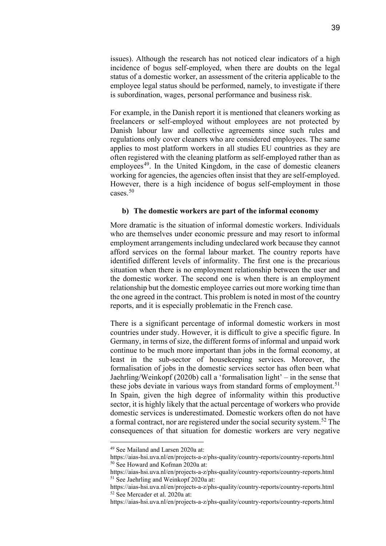issues). Although the research has not noticed clear indicators of a high incidence of bogus self-employed, when there are doubts on the legal status of a domestic worker, an assessment of the criteria applicable to the employee legal status should be performed, namely, to investigate if there is subordination, wages, personal performance and business risk.

For example, in the Danish report it is mentioned that cleaners working as freelancers or self-employed without employees are not protected by Danish labour law and collective agreements since such rules and regulations only cover cleaners who are considered employees. The same applies to most platform workers in all studies EU countries as they are often registered with the cleaning platform as self-employed rather than as employees<sup>[49](#page-38-0)</sup>. In the United Kingdom, in the case of domestic cleaners working for agencies, the agencies often insist that they are self-employed. However, there is a high incidence of bogus self-employment in those cases.[50](#page-38-1)

#### **b) The domestic workers are part of the informal economy**

More dramatic is the situation of informal domestic workers. Individuals who are themselves under economic pressure and may resort to informal employment arrangements including undeclared work because they cannot afford services on the formal labour market. The country reports have identified different levels of informality. The first one is the precarious situation when there is no employment relationship between the user and the domestic worker. The second one is when there is an employment relationship but the domestic employee carries out more working time than the one agreed in the contract. This problem is noted in most of the country reports, and it is especially problematic in the French case.

There is a significant percentage of informal domestic workers in most countries under study. However, it is difficult to give a specific figure. In Germany, in terms of size, the different forms of informal and unpaid work continue to be much more important than jobs in the formal economy, at least in the sub-sector of housekeeping services. Moreover, the formalisation of jobs in the domestic services sector has often been what Jaehrling/Weinkopf (2020b) call a 'formalisation light' – in the sense that these jobs deviate in various ways from standard forms of employment.<sup>[51](#page-38-2)</sup> In Spain, given the high degree of informality within this productive sector, it is highly likely that the actual percentage of workers who provide domestic services is underestimated. Domestic workers often do not have a formal contract, nor are registered under the social security system.<sup>[52](#page-38-3)</sup> The consequences of that situation for domestic workers are very negative

<span id="page-38-0"></span><sup>49</sup> See Mailand and Larsen 2020a at:

https://aias-hsi.uva.nl/en/projects-a-z/phs-quality/country-reports/country-reports.html <sup>50</sup> See Howard and Kofman 2020a at:

<span id="page-38-1"></span>https://aias-hsi.uva.nl/en/projects-a-z/phs-quality/country-reports/country-reports.html <sup>51</sup> See Jaehrling and Weinkopf 2020a at:

<span id="page-38-3"></span><span id="page-38-2"></span>https://aias-hsi.uva.nl/en/projects-a-z/phs-quality/country-reports/country-reports.html <sup>52</sup> See Mercader et al. 2020a at:

https://aias-hsi.uva.nl/en/projects-a-z/phs-quality/country-reports/country-reports.html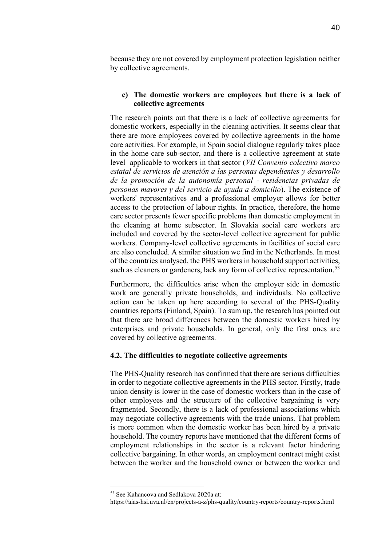because they are not covered by employment protection legislation neither by collective agreements.

#### **c) The domestic workers are employees but there is a lack of collective agreements**

The research points out that there is a lack of collective agreements for domestic workers, especially in the cleaning activities. It seems clear that there are more employees covered by collective agreements in the home care activities. For example, in Spain social dialogue regularly takes place in the home care sub-sector, and there is a collective agreement at state level applicable to workers in that sector (*VII Convenio colectivo marco estatal de servicios de atención a las personas dependientes y desarrollo de la promoción de la autonomía personal - residencias privadas de personas mayores y del servicio de ayuda a domicilio*). The existence of workers' representatives and a professional employer allows for better access to the protection of labour rights. In practice, therefore, the home care sector presents fewer specific problems than domestic employment in the cleaning at home subsector. In Slovakia social care workers are included and covered by the sector-level collective agreement for public workers. Company-level collective agreements in facilities of social care are also concluded. A similar situation we find in the Netherlands. In most of the countries analysed, the PHS workers in household support activities, such as cleaners or gardeners, lack any form of collective representation.<sup>[53](#page-39-0)</sup>

Furthermore, the difficulties arise when the employer side in domestic work are generally private households, and individuals. No collective action can be taken up here according to several of the PHS-Quality countries reports (Finland, Spain). To sum up, the research has pointed out that there are broad differences between the domestic workers hired by enterprises and private households. In general, only the first ones are covered by collective agreements.

#### **4.2. The difficulties to negotiate collective agreements**

The PHS-Quality research has confirmed that there are serious difficulties in order to negotiate collective agreements in the PHS sector. Firstly, trade union density is lower in the case of domestic workers than in the case of other employees and the structure of the collective bargaining is very fragmented. Secondly, there is a lack of professional associations which may negotiate collective agreements with the trade unions. That problem is more common when the domestic worker has been hired by a private household. The country reports have mentioned that the different forms of employment relationships in the sector is a relevant factor hindering collective bargaining. In other words, an employment contract might exist between the worker and the household owner or between the worker and

<span id="page-39-0"></span><sup>53</sup> See Kahancova and Sedlakova 2020a at:

https://aias-hsi.uva.nl/en/projects-a-z/phs-quality/country-reports/country-reports.html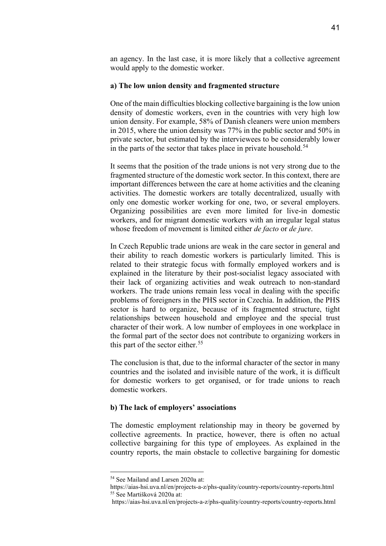an agency. In the last case, it is more likely that a collective agreement would apply to the domestic worker.

#### **a) The low union density and fragmented structure**

One of the main difficulties blocking collective bargaining is the low union density of domestic workers, even in the countries with very high low union density. For example, 58% of Danish cleaners were union members in 2015, where the union density was 77% in the public sector and 50% in private sector, but estimated by the interviewees to be considerably lower in the parts of the sector that takes place in private household.<sup>[54](#page-40-0)</sup>

It seems that the position of the trade unions is not very strong due to the fragmented structure of the domestic work sector. In this context, there are important differences between the care at home activities and the cleaning activities. The domestic workers are totally decentralized, usually with only one domestic worker working for one, two, or several employers. Organizing possibilities are even more limited for live-in domestic workers, and for migrant domestic workers with an irregular legal status whose freedom of movement is limited either *de facto* or *de jure*.

In Czech Republic trade unions are weak in the care sector in general and their ability to reach domestic workers is particularly limited. This is related to their strategic focus with formally employed workers and is explained in the literature by their post-socialist legacy associated with their lack of organizing activities and weak outreach to non-standard workers. The trade unions remain less vocal in dealing with the specific problems of foreigners in the PHS sector in Czechia. In addition, the PHS sector is hard to organize, because of its fragmented structure, tight relationships between household and employee and the special trust character of their work. A low number of employees in one workplace in the formal part of the sector does not contribute to organizing workers in this part of the sector either.<sup>[55](#page-40-1)</sup>

The conclusion is that, due to the informal character of the sector in many countries and the isolated and invisible nature of the work, it is difficult for domestic workers to get organised, or for trade unions to reach domestic workers.

#### **b) The lack of employers' associations**

The domestic employment relationship may in theory be governed by collective agreements. In practice, however, there is often no actual collective bargaining for this type of employees. As explained in the country reports, the main obstacle to collective bargaining for domestic

<sup>54</sup> See Mailand and Larsen 2020a at:

<span id="page-40-1"></span><span id="page-40-0"></span>https://aias-hsi.uva.nl/en/projects-a-z/phs-quality/country-reports/country-reports.html <sup>55</sup> See Martišková 2020a at:

https://aias-hsi.uva.nl/en/projects-a-z/phs-quality/country-reports/country-reports.html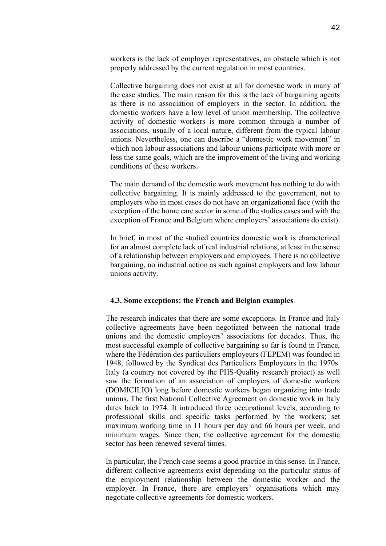workers is the lack of employer representatives, an obstacle which is not properly addressed by the current regulation in most countries.

Collective bargaining does not exist at all for domestic work in many of the case studies. The main reason for this is the lack of bargaining agents as there is no association of employers in the sector. In addition, the domestic workers have a low level of union membership. The collective activity of domestic workers is more common through a number of associations, usually of a local nature, different from the typical labour unions. Nevertheless, one can describe a "domestic work movement" in which non labour associations and labour unions participate with more or less the same goals, which are the improvement of the living and working conditions of these workers.

The main demand of the domestic work movement has nothing to do with collective bargaining. It is mainly addressed to the government, not to employers who in most cases do not have an organizational face (with the exception of the home care sector in some of the studies cases and with the exception of France and Belgium where employers' associations do exist).

In brief, in most of the studied countries domestic work is characterized for an almost complete lack of real industrial relations, at least in the sense of a relationship between employers and employees. There is no collective bargaining, no industrial action as such against employers and low labour unions activity.

#### **4.3. Some exceptions: the French and Belgian examples**

The research indicates that there are some exceptions. In France and Italy collective agreements have been negotiated between the national trade unions and the domestic employers' associations for decades. Thus, the most successful example of collective bargaining so far is found in France, where the Fédération des particuliers employeurs (FEPEM) was founded in 1948, followed by the Syndicat des Particuliers Employeurs in the 1970s. Italy (a country not covered by the PHS-Quality research project) as well saw the formation of an association of employers of domestic workers (DOMICILIO) long before domestic workers began organizing into trade unions. The first National Collective Agreement on domestic work in Italy dates back to 1974. It introduced three occupational levels, according to professional skills and specific tasks performed by the workers; set maximum working time in 11 hours per day and 66 hours per week, and minimum wages. Since then, the collective agreement for the domestic sector has been renewed several times.

In particular, the French case seems a good practice in this sense. In France, different collective agreements exist depending on the particular status of the employment relationship between the domestic worker and the employer. In France, there are employers' organisations which may negotiate collective agreements for domestic workers.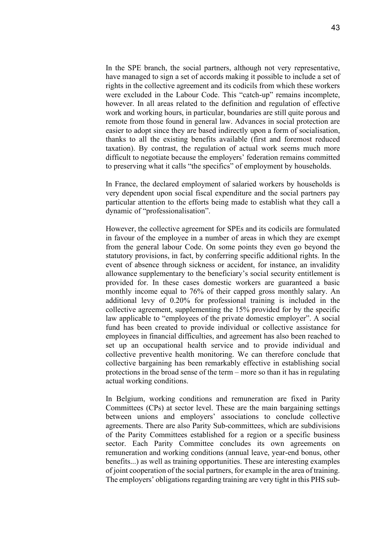In the SPE branch, the social partners, although not very representative, have managed to sign a set of accords making it possible to include a set of rights in the collective agreement and its codicils from which these workers were excluded in the Labour Code. This "catch-up" remains incomplete, however. In all areas related to the definition and regulation of effective work and working hours, in particular, boundaries are still quite porous and remote from those found in general law. Advances in social protection are easier to adopt since they are based indirectly upon a form of socialisation, thanks to all the existing benefits available (first and foremost reduced taxation). By contrast, the regulation of actual work seems much more difficult to negotiate because the employers' federation remains committed to preserving what it calls "the specifics" of employment by households.

In France, the declared employment of salaried workers by households is very dependent upon social fiscal expenditure and the social partners pay particular attention to the efforts being made to establish what they call a dynamic of "professionalisation".

However, the collective agreement for SPEs and its codicils are formulated in favour of the employee in a number of areas in which they are exempt from the general labour Code. On some points they even go beyond the statutory provisions, in fact, by conferring specific additional rights. In the event of absence through sickness or accident, for instance, an invalidity allowance supplementary to the beneficiary's social security entitlement is provided for. In these cases domestic workers are guaranteed a basic monthly income equal to 76% of their capped gross monthly salary. An additional levy of 0.20% for professional training is included in the collective agreement, supplementing the 15% provided for by the specific law applicable to "employees of the private domestic employer". A social fund has been created to provide individual or collective assistance for employees in financial difficulties, and agreement has also been reached to set up an occupational health service and to provide individual and collective preventive health monitoring. We can therefore conclude that collective bargaining has been remarkably effective in establishing social protections in the broad sense of the term – more so than it has in regulating actual working conditions.

In Belgium, working conditions and remuneration are fixed in Parity Committees (CPs) at sector level. These are the main bargaining settings between unions and employers' associations to conclude collective agreements. There are also Parity Sub-committees, which are subdivisions of the Parity Committees established for a region or a specific business sector. Each Parity Committee concludes its own agreements on remuneration and working conditions (annual leave, year-end bonus, other benefits...) as well as training opportunities. These are interesting examples of joint cooperation of the social partners, for example in the area of training. The employers' obligations regarding training are very tight in this PHS sub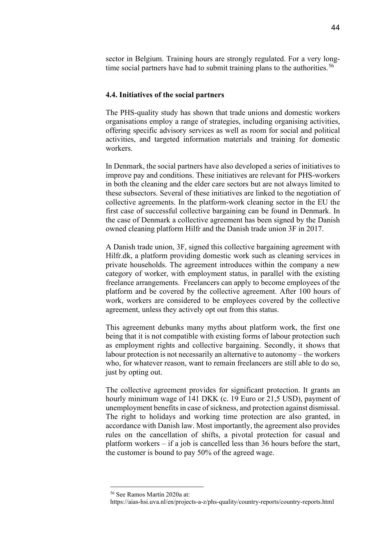sector in Belgium. Training hours are strongly regulated. For a very long-time social partners have had to submit training plans to the authorities.<sup>[56](#page-43-0)</sup>

#### **4.4. Initiatives of the social partners**

The PHS-quality study has shown that trade unions and domestic workers organisations employ a range of strategies, including organising activities, offering specific advisory services as well as room for social and political activities, and targeted information materials and training for domestic workers.

In Denmark, the social partners have also developed a series of initiatives to improve pay and conditions. These initiatives are relevant for PHS-workers in both the cleaning and the elder care sectors but are not always limited to these subsectors. Several of these initiatives are linked to the negotiation of collective agreements. In the platform-work cleaning sector in the EU the first case of successful collective bargaining can be found in Denmark. In the case of Denmark a collective agreement has been signed by the Danish owned cleaning platform Hilfr and the Danish trade union 3F in 2017.

A Danish trade union, 3F, signed this [collective bargaining agreement](http://regulatingforglobalization.com/2018/12/10/collective-bargaining-of-platform-workers-domestic-work-leads-the-way/collective%20bargaining%20agreement) with Hilfr.dk, a platform providing domestic work such as cleaning services in private households. The [agreement](http://ow.ly/d/83Wv) introduces within the company a new category of worker, with employment status, in parallel with the existing freelance arrangements. Freelancers can apply to become employees of the platform and be covered by the collective agreement. After 100 hours of work, workers are considered to be employees covered by the collective agreement, unless they actively opt out from this status.

This agreement debunks many myths about platform work, the first one being that it is not compatible with existing forms of labour protection such as employment rights and collective bargaining. Secondly, it shows that labour protection is not necessarily an alternative to autonomy – the workers who, for whatever reason, want to remain freelancers are still able to do so, just by opting out.

The collective agreement provides for significant protection. It grants an hourly minimum wage of 141 DKK (c. 19 Euro or 21,5 USD), payment of unemployment benefits in case of sickness, and protection against dismissal. The right to holidays and working time protection are also granted, in accordance with Danish law. Most importantly, the agreement also provides rules on the cancellation of shifts, a pivotal protection for casual and platform workers – if a job is cancelled less than 36 hours before the start, the customer is bound to pay 50% of the agreed wage.

<span id="page-43-0"></span><sup>56</sup> See Ramos Martín 2020a at:

https://aias-hsi.uva.nl/en/projects-a-z/phs-quality/country-reports/country-reports.html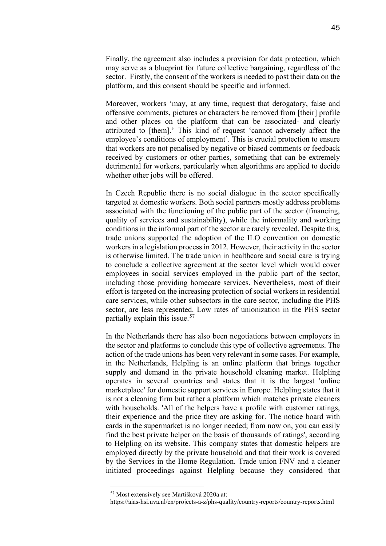Finally, the agreement also includes a provision for data protection, which may serve as a blueprint for future collective bargaining, regardless of the sector. Firstly, the consent of the workers is needed to post their data on the platform, and this consent should be specific and informed.

Moreover, workers 'may, at any time, request that derogatory, false and offensive comments, pictures or characters be removed from [their] profile and other places on the platform that can be associated- and clearly attributed to [them].' This kind of request 'cannot adversely affect the employee's conditions of employment'. This is crucial protection to ensure that workers are not penalised by negative or biased comments or feedback received by customers or other parties, something that can be extremely detrimental for workers, particularly when algorithms are applied to decide whether other jobs will be offered.

In Czech Republic there is no social dialogue in the sector specifically targeted at domestic workers. Both social partners mostly address problems associated with the functioning of the public part of the sector (financing, quality of services and sustainability), while the informality and working conditions in the informal part of the sector are rarely revealed. Despite this, trade unions supported the adoption of the ILO convention on domestic workers in a legislation process in 2012. However, their activity in the sector is otherwise limited. The trade union in healthcare and social care is trying to conclude a collective agreement at the sector level which would cover employees in social services employed in the public part of the sector, including those providing homecare services. Nevertheless, most of their effort is targeted on the increasing protection of social workers in residential care services, while other subsectors in the care sector, including the PHS sector, are less represented. Low rates of unionization in the PHS sector partially explain this issue. [57](#page-44-0)

In the Netherlands there has also been negotiations between employers in the sector and platforms to conclude this type of collective agreements. The action of the trade unions has been very relevant in some cases. For example, in the Netherlands, Helpling is an online platform that brings together supply and demand in the private household cleaning market. Helpling operates in several countries and states that it is the largest 'online marketplace' for domestic support services in Europe. Helpling states that it is not a cleaning firm but rather a platform which matches private cleaners with households. 'All of the helpers have a profile with customer ratings, their experience and the price they are asking for. The notice board with cards in the supermarket is no longer needed; from now on, you can easily find the best private helper on the basis of thousands of ratings', according to Helpling on its website. This company states that domestic helpers are employed directly by the private household and that their work is covered by the Services in the Home Regulation. Trade union FNV and a cleaner initiated proceedings against Helpling because they considered that

<span id="page-44-0"></span><sup>57</sup> Most extensively see Martišková 2020a at:

https://aias-hsi.uva.nl/en/projects-a-z/phs-quality/country-reports/country-reports.html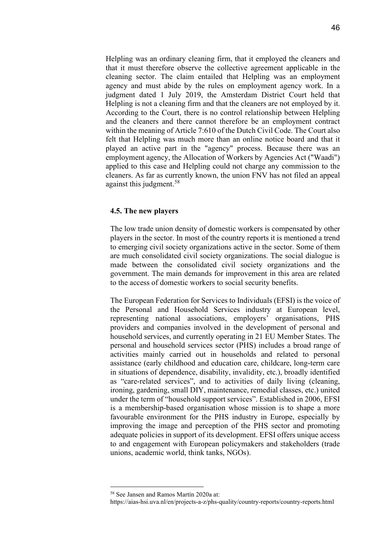Helpling was an ordinary cleaning firm, that it employed the cleaners and that it must therefore observe the collective agreement applicable in the cleaning sector. The claim entailed that Helpling was an employment agency and must abide by the rules on employment agency work. In a judgment dated 1 July 2019, the Amsterdam District Court held that Helpling is not a cleaning firm and that the cleaners are not employed by it. According to the Court, there is no control relationship between Helpling and the cleaners and there cannot therefore be an employment contract within the meaning of Article 7:610 of the Dutch Civil Code. The Court also felt that Helpling was much more than an online notice board and that it played an active part in the "agency" process. Because there was an employment agency, the Allocation of Workers by Agencies Act ("Waadi") applied to this case and Helpling could not charge any commission to the cleaners. As far as currently known, the union FNV has not filed an appeal against this judgment. [58](#page-45-0)

#### **4.5. The new players**

The low trade union density of domestic workers is compensated by other players in the sector. In most of the country reports it is mentioned a trend to emerging civil society organizations active in the sector. Some of them are much consolidated civil society organizations. The social dialogue is made between the consolidated civil society organizations and the government. The main demands for improvement in this area are related to the access of domestic workers to social security benefits.

The European Federation for Services to Individuals (EFSI) is the voice of the Personal and Household Services industry at European level, representing national associations, employers' organisations, PHS providers and companies involved in the development of personal and household services, and currently operating in 21 EU Member States. The personal and household services sector (PHS) includes a broad range of activities mainly carried out in households and related to personal assistance (early childhood and education care, childcare, long-term care in situations of dependence, disability, invalidity, etc.), broadly identified as "care-related services", and to activities of daily living (cleaning, ironing, gardening, small DIY, maintenance, remedial classes, etc.) united under the term of "household support services". Established in 2006, EFSI is a membership-based organisation whose mission is to shape a more favourable environment for the PHS industry in Europe, especially by improving the image and perception of the PHS sector and promoting adequate policies in support of its development. EFSI offers unique access to and engagement with European policymakers and stakeholders (trade unions, academic world, think tanks, NGOs).

<span id="page-45-0"></span><sup>58</sup> See Jansen and Ramos Martín 2020a at:

https://aias-hsi.uva.nl/en/projects-a-z/phs-quality/country-reports/country-reports.html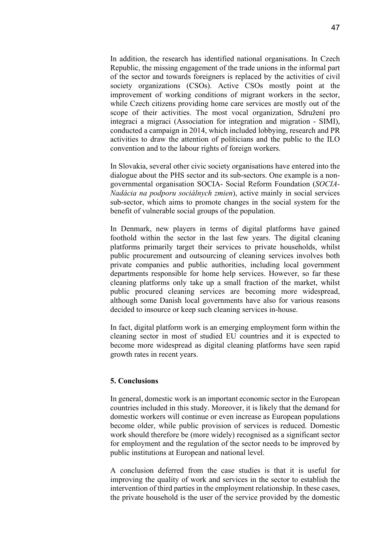In addition, the research has identified national organisations. In Czech Republic, the missing engagement of the trade unions in the informal part of the sector and towards foreigners is replaced by the activities of civil society organizations (CSOs). Active CSOs mostly point at the improvement of working conditions of migrant workers in the sector, while Czech citizens providing home care services are mostly out of the scope of their activities. The most vocal organization, Sdružení pro integraci a migraci (Association for integration and migration - SIMI), conducted a campaign in 2014, which included lobbying, research and PR activities to draw the attention of politicians and the public to the ILO convention and to the labour rights of foreign workers.

In Slovakia, several other civic society organisations have entered into the dialogue about the PHS sector and its sub-sectors. One example is a nongovernmental organisation SOCIA- Social Reform Foundation (*SOCIA-Nadácia na podporu sociálnych zmien*), active mainly in social services sub-sector, which aims to promote changes in the social system for the benefit of vulnerable social groups of the population.

In Denmark, new players in terms of digital platforms have gained foothold within the sector in the last few years. The digital cleaning platforms primarily target their services to private households, whilst public procurement and outsourcing of cleaning services involves both private companies and public authorities, including local government departments responsible for home help services. However, so far these cleaning platforms only take up a small fraction of the market, whilst public procured cleaning services are becoming more widespread, although some Danish local governments have also for various reasons decided to insource or keep such cleaning services in-house.

In fact, digital platform work is an emerging employment form within the cleaning sector in most of studied EU countries and it is expected to become more widespread as digital cleaning platforms have seen rapid growth rates in recent years.

#### **5. Conclusions**

In general, domestic work is an important economic sector in the European countries included in this study. Moreover, it is likely that the demand for domestic workers will continue or even increase as European populations become older, while public provision of services is reduced. Domestic work should therefore be (more widely) recognised as a significant sector for employment and the regulation of the sector needs to be improved by public institutions at European and national level.

A conclusion deferred from the case studies is that it is useful for improving the quality of work and services in the sector to establish the intervention of third parties in the employment relationship. In these cases, the private household is the user of the service provided by the domestic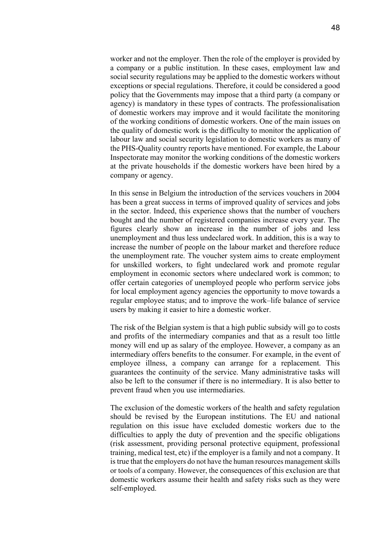worker and not the employer. Then the role of the employer is provided by a company or a public institution. In these cases, employment law and social security regulations may be applied to the domestic workers without exceptions or special regulations. Therefore, it could be considered a good policy that the Governments may impose that a third party (a company or agency) is mandatory in these types of contracts. The professionalisation of domestic workers may improve and it would facilitate the monitoring of the working conditions of domestic workers. One of the main issues on the quality of domestic work is the difficulty to monitor the application of labour law and social security legislation to domestic workers as many of the PHS-Quality country reports have mentioned. For example, the Labour Inspectorate may monitor the working conditions of the domestic workers at the private households if the domestic workers have been hired by a company or agency.

In this sense in Belgium the introduction of the services vouchers in 2004 has been a great success in terms of improved quality of services and jobs in the sector. Indeed, this experience shows that the number of vouchers bought and the number of registered companies increase every year. The figures clearly show an increase in the number of jobs and less unemployment and thus less undeclared work. In addition, this is a way to increase the number of people on the labour market and therefore reduce the unemployment rate. The voucher system aims to create employment for unskilled workers, to fight undeclared work and promote regular employment in economic sectors where undeclared work is common; to offer certain categories of unemployed people who perform service jobs for local employment agency agencies the opportunity to move towards a regular employee status; and to improve the work–life balance of service users by making it easier to hire a domestic worker.

The risk of the Belgian system is that a high public subsidy will go to costs and profits of the intermediary companies and that as a result too little money will end up as salary of the employee. However, a company as an intermediary offers benefits to the consumer. For example, in the event of employee illness, a company can arrange for a replacement. This guarantees the continuity of the service. Many administrative tasks will also be left to the consumer if there is no intermediary. It is also better to prevent fraud when you use intermediaries.

The exclusion of the domestic workers of the health and safety regulation should be revised by the European institutions. The EU and national regulation on this issue have excluded domestic workers due to the difficulties to apply the duty of prevention and the specific obligations (risk assessment, providing personal protective equipment, professional training, medical test, etc) if the employer is a family and not a company. It is true that the employers do not have the human resources management skills or tools of a company. However, the consequences of this exclusion are that domestic workers assume their health and safety risks such as they were self-employed.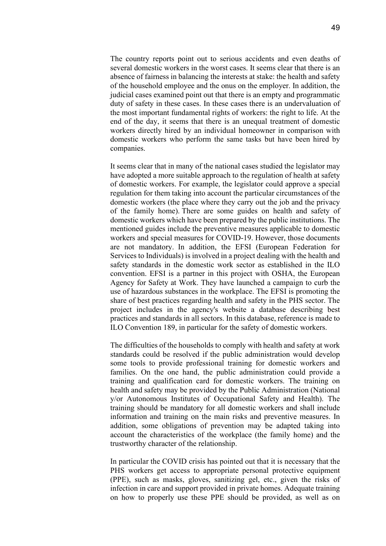The country reports point out to serious accidents and even deaths of several domestic workers in the worst cases. It seems clear that there is an absence of fairness in balancing the interests at stake: the health and safety of the household employee and the onus on the employer. In addition, the judicial cases examined point out that there is an empty and programmatic duty of safety in these cases. In these cases there is an undervaluation of the most important fundamental rights of workers: the right to life. At the end of the day, it seems that there is an unequal treatment of domestic workers directly hired by an individual homeowner in comparison with domestic workers who perform the same tasks but have been hired by companies.

It seems clear that in many of the national cases studied the legislator may have adopted a more suitable approach to the regulation of health at safety of domestic workers. For example, the legislator could approve a special regulation for them taking into account the particular circumstances of the domestic workers (the place where they carry out the job and the privacy of the family home). There are some guides on health and safety of domestic workers which have been prepared by the public institutions. The mentioned guides include the preventive measures applicable to domestic workers and special measures for COVID-19. However, those documents are not mandatory. In addition, the EFSI (European Federation for Services to Individuals) is involved in a project dealing with the health and safety standards in the domestic work sector as established in the ILO convention. EFSI is a partner in this project with OSHA, the European Agency for Safety at Work. They have launched a campaign to curb the use of hazardous substances in the workplace. The EFSI is promoting the share of best practices regarding health and safety in the PHS sector. The project includes in the agency's website a database describing best practices and standards in all sectors. In this database, reference is made to ILO Convention 189, in particular for the safety of domestic workers.

The difficulties of the households to comply with health and safety at work standards could be resolved if the public administration would develop some tools to provide professional training for domestic workers and families. On the one hand, the public administration could provide a training and qualification card for domestic workers. The training on health and safety may be provided by the Public Administration (National y/or Autonomous Institutes of Occupational Safety and Health). The training should be mandatory for all domestic workers and shall include information and training on the main risks and preventive measures. In addition, some obligations of prevention may be adapted taking into account the characteristics of the workplace (the family home) and the trustworthy character of the relationship.

In particular the COVID crisis has pointed out that it is necessary that the PHS workers get access to appropriate personal protective equipment (PPE), such as masks, gloves, sanitizing gel, etc., given the risks of infection in care and support provided in private homes. Adequate training on how to properly use these PPE should be provided, as well as on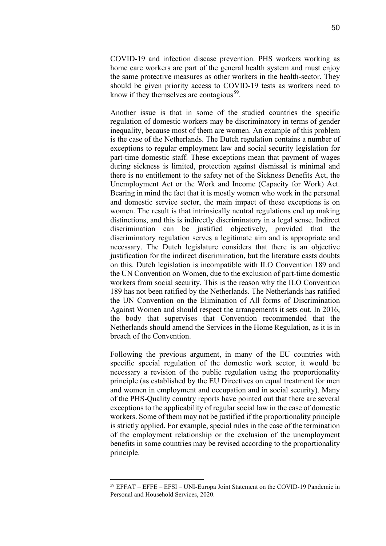COVID-19 and infection disease prevention. PHS workers working as home care workers are part of the general health system and must enjoy the same protective measures as other workers in the health-sector. They should be given priority access to COVID-19 tests as workers need to know if they themselves are contagious<sup>59</sup>.

Another issue is that in some of the studied countries the specific regulation of domestic workers may be discriminatory in terms of gender inequality, because most of them are women. An example of this problem is the case of the Netherlands. The Dutch regulation contains a number of exceptions to regular employment law and social security legislation for part-time domestic staff. These exceptions mean that payment of wages during sickness is limited, protection against dismissal is minimal and there is no entitlement to the safety net of the Sickness Benefits Act, the Unemployment Act or the Work and Income (Capacity for Work) Act. Bearing in mind the fact that it is mostly women who work in the personal and domestic service sector, the main impact of these exceptions is on women. The result is that intrinsically neutral regulations end up making distinctions, and this is indirectly discriminatory in a legal sense. Indirect discrimination can be justified objectively, provided that the discriminatory regulation serves a legitimate aim and is appropriate and necessary. The Dutch legislature considers that there is an objective justification for the indirect discrimination, but the literature casts doubts on this. Dutch legislation is incompatible with ILO Convention 189 and the UN Convention on Women, due to the exclusion of part-time domestic workers from social security. This is the reason why the ILO Convention 189 has not been ratified by the Netherlands. The Netherlands has ratified the UN Convention on the Elimination of All forms of Discrimination Against Women and should respect the arrangements it sets out. In 2016, the body that supervises that Convention recommended that the Netherlands should amend the Services in the Home Regulation, as it is in breach of the Convention.

Following the previous argument, in many of the EU countries with specific special regulation of the domestic work sector, it would be necessary a revision of the public regulation using the proportionality principle (as established by the EU Directives on equal treatment for men and women in employment and occupation and in social security). Many of the PHS-Quality country reports have pointed out that there are several exceptions to the applicability of regular social law in the case of domestic workers. Some of them may not be justified if the proportionality principle is strictly applied. For example, special rules in the case of the termination of the employment relationship or the exclusion of the unemployment benefits in some countries may be revised according to the proportionality principle.

<span id="page-49-0"></span><sup>59</sup> EFFAT – EFFE – EFSI – UNI-Europa Joint Statement on the COVID-19 Pandemic in Personal and Household Services, 2020.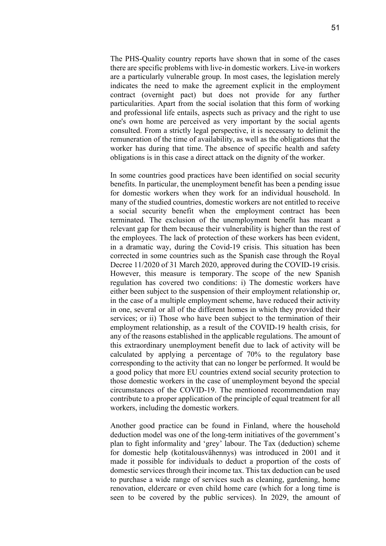The PHS-Quality country reports have shown that in some of the cases there are specific problems with live-in domestic workers. Live-in workers are a particularly vulnerable group. In most cases, the legislation merely indicates the need to make the agreement explicit in the employment contract (overnight pact) but does not provide for any further particularities. Apart from the social isolation that this form of working and professional life entails, aspects such as privacy and the right to use one's own home are perceived as very important by the social agents consulted. From a strictly legal perspective, it is necessary to delimit the remuneration of the time of availability, as well as the obligations that the worker has during that time. The absence of specific health and safety obligations is in this case a direct attack on the dignity of the worker.

In some countries good practices have been identified on social security benefits. In particular, the unemployment benefit has been a pending issue for domestic workers when they work for an individual household. In many of the studied countries, domestic workers are not entitled to receive a social security benefit when the employment contract has been terminated. The exclusion of the unemployment benefit has meant a relevant gap for them because their vulnerability is higher than the rest of the employees. The lack of protection of these workers has been evident, in a dramatic way, during the Covid-19 crisis. This situation has been corrected in some countries such as the Spanish case through the Royal Decree 11/2020 of 31 March 2020, approved during the COVID-19 crisis. However, this measure is temporary. The scope of the new Spanish regulation has covered two conditions: i) The domestic workers have either been subject to the suspension of their employment relationship or, in the case of a multiple employment scheme, have reduced their activity in one, several or all of the different homes in which they provided their services; or ii) Those who have been subject to the termination of their employment relationship, as a result of the COVID-19 health crisis, for any of the reasons established in the applicable regulations. The amount of this extraordinary unemployment benefit due to lack of activity will be calculated by applying a percentage of 70% to the regulatory base corresponding to the activity that can no longer be performed. It would be a good policy that more EU countries extend social security protection to those domestic workers in the case of unemployment beyond the special circumstances of the COVID-19. The mentioned recommendation may contribute to a proper application of the principle of equal treatment for all workers, including the domestic workers.

Another good practice can be found in Finland, where the household deduction model was one of the long-term initiatives of the government's plan to fight informality and 'grey' labour. The Tax (deduction) scheme for domestic help (kotitalousvähennys) was introduced in 2001 and it made it possible for individuals to deduct a proportion of the costs of domestic services through their income tax. This tax deduction can be used to purchase a wide range of services such as cleaning, gardening, home renovation, eldercare or even child home care (which for a long time is seen to be covered by the public services). In 2029, the amount of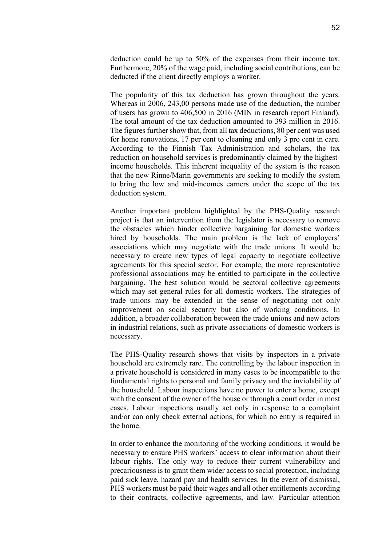deduction could be up to 50% of the expenses from their income tax. Furthermore, 20% of the wage paid, including social contributions, can be deducted if the client directly employs a worker.

The popularity of this tax deduction has grown throughout the years. Whereas in 2006, 243,00 persons made use of the deduction, the number of users has grown to 406,500 in 2016 (MIN in research report Finland). The total amount of the tax deduction amounted to 393 million in 2016. The figures further show that, from all tax deductions, 80 per cent was used for home renovations, 17 per cent to cleaning and only 3 pro cent in care. According to the Finnish Tax Administration and scholars, the tax reduction on household services is predominantly claimed by the highestincome households. This inherent inequality of the system is the reason that the new Rinne/Marin governments are seeking to modify the system to bring the low and mid-incomes earners under the scope of the tax deduction system.

Another important problem highlighted by the PHS-Quality research project is that an intervention from the legislator is necessary to remove the obstacles which hinder collective bargaining for domestic workers hired by households. The main problem is the lack of employers' associations which may negotiate with the trade unions. It would be necessary to create new types of legal capacity to negotiate collective agreements for this special sector. For example, the more representative professional associations may be entitled to participate in the collective bargaining. The best solution would be sectoral collective agreements which may set general rules for all domestic workers. The strategies of trade unions may be extended in the sense of negotiating not only improvement on social security but also of working conditions. In addition, a broader collaboration between the trade unions and new actors in industrial relations, such as private associations of domestic workers is necessary.

The PHS-Quality research shows that visits by inspectors in a private household are extremely rare. The controlling by the labour inspection in a private household is considered in many cases to be incompatible to the fundamental rights to personal and family privacy and the inviolability of the household. Labour inspections have no power to enter a home, except with the consent of the owner of the house or through a court order in most cases. Labour inspections usually act only in response to a complaint and/or can only check external actions, for which no entry is required in the home.

In order to enhance the monitoring of the working conditions, it would be necessary to ensure PHS workers' access to clear information about their labour rights. The only way to reduce their current vulnerability and precariousness is to grant them wider access to social protection, including paid sick leave, hazard pay and health services. In the event of dismissal, PHS workers must be paid their wages and all other entitlements according to their contracts, collective agreements, and law. Particular attention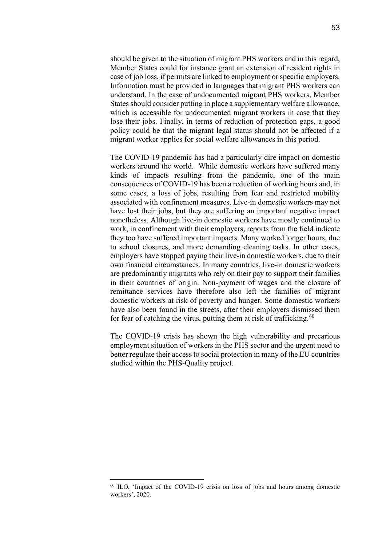should be given to the situation of migrant PHS workers and in this regard, Member States could for instance grant an extension of resident rights in case of job loss, if permits are linked to employment or specific employers. Information must be provided in languages that migrant PHS workers can understand. In the case of undocumented migrant PHS workers, Member States should consider putting in place a supplementary welfare allowance, which is accessible for undocumented migrant workers in case that they lose their jobs. Finally, in terms of reduction of protection gaps, a good policy could be that the migrant legal status should not be affected if a migrant worker applies for social welfare allowances in this period.

The COVID-19 pandemic has had a particularly dire impact on domestic workers around the world. While domestic workers have suffered many kinds of impacts resulting from the pandemic, one of the main consequences of COVID-19 has been a reduction of working hours and, in some cases, a loss of jobs, resulting from fear and restricted mobility associated with confinement measures. Live-in domestic workers may not have lost their jobs, but they are suffering an important negative impact nonetheless. Although live-in domestic workers have mostly continued to work, in confinement with their employers, reports from the field indicate they too have suffered important impacts. Many worked longer hours, due to school closures, and more demanding cleaning tasks. In other cases, employers have stopped paying their live-in domestic workers, due to their own financial circumstances. In many countries, live-in domestic workers are predominantly migrants who rely on their pay to support their families in their countries of origin. Non-payment of wages and the closure of remittance services have therefore also left the families of migrant domestic workers at risk of poverty and hunger. Some domestic workers have also been found in the streets, after their employers dismissed them for fear of catching the virus, putting them at risk of trafficking.  $60$ 

The COVID-19 crisis has shown the high vulnerability and precarious employment situation of workers in the PHS sector and the urgent need to better regulate their access to social protection in many of the EU countries studied within the PHS-Quality project.

<span id="page-52-0"></span><sup>60</sup> ILO, 'Impact of the COVID-19 crisis on loss of jobs and hours among domestic workers', 2020.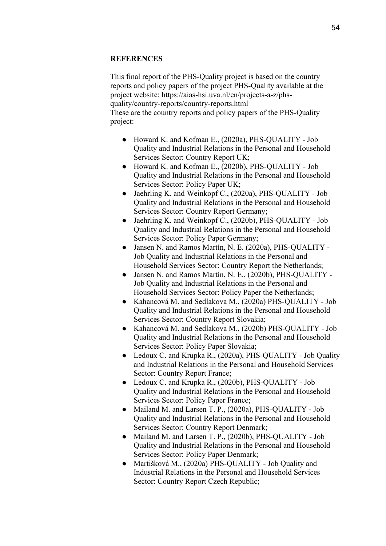# **REFERENCES**

This final report of the PHS-Quality project is based on the country reports and policy papers of the project PHS-Quality available at the project website: https://aias-hsi.uva.nl/en/projects-a-z/phsquality/country-reports/country-reports.html These are the country reports and policy papers of the PHS-Quality project:

- Howard K. and Kofman E., (2020a), PHS-QUALITY Job Quality and Industrial Relations in the Personal and Household Services Sector: Country Report UK;
- Howard K. and Kofman E., (2020b), PHS-QUALITY Job Quality and Industrial Relations in the Personal and Household Services Sector: Policy Paper UK;
- Jaehrling K. and Weinkopf C., (2020a), PHS-QUALITY Job Quality and Industrial Relations in the Personal and Household Services Sector: Country Report Germany;
- Jaehrling K. and Weinkopf C., (2020b), PHS-QUALITY Job Quality and Industrial Relations in the Personal and Household Services Sector: Policy Paper Germany;
- Jansen N. and Ramos Martín, N. E. (2020a), PHS-QUALITY Job Quality and Industrial Relations in the Personal and Household Services Sector: Country Report the Netherlands;
- Jansen N. and Ramos Martín, N. E., (2020b), PHS-QUALITY Job Quality and Industrial Relations in the Personal and Household Services Sector: Policy Paper the Netherlands;
- Kahancová M. and Sedlakova M., (2020a) PHS-QUALITY Job Quality and Industrial Relations in the Personal and Household Services Sector: Country Report Slovakia;
- Kahancová M. and Sedlakova M., (2020b) PHS-QUALITY Job Quality and Industrial Relations in the Personal and Household Services Sector: Policy Paper Slovakia;
- Ledoux C. and Krupka R., (2020a), PHS-QUALITY Job Quality and Industrial Relations in the Personal and Household Services Sector: Country Report France;
- Ledoux C. and Krupka R., (2020b), PHS-QUALITY Job Quality and Industrial Relations in the Personal and Household Services Sector: Policy Paper France;
- Mailand M. and Larsen T. P., (2020a), PHS-OUALITY Job Quality and Industrial Relations in the Personal and Household Services Sector: Country Report Denmark;
- Mailand M. and Larsen T. P., (2020b), PHS-QUALITY Job Quality and Industrial Relations in the Personal and Household Services Sector: Policy Paper Denmark;
- Martišková M., (2020a) PHS-QUALITY Job Quality and Industrial Relations in the Personal and Household Services Sector: Country Report Czech Republic;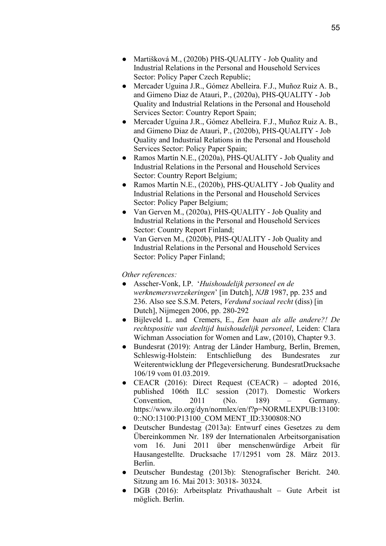- Martišková M., (2020b) PHS-QUALITY Job Quality and Industrial Relations in the Personal and Household Services Sector: Policy Paper Czech Republic;
- Mercader Uguina J.R., Gómez Abelleira. F.J., Muñoz Ruiz A. B., and Gimeno Diaz de Atauri, P., (2020a), PHS-QUALITY - Job Quality and Industrial Relations in the Personal and Household Services Sector: Country Report Spain;
- Mercader Uguina J.R., Gómez Abelleira. F.J., Muñoz Ruiz A. B., and Gimeno Diaz de Atauri, P., (2020b), PHS-QUALITY - Job Quality and Industrial Relations in the Personal and Household Services Sector: Policy Paper Spain;
- Ramos Martín N.E., (2020a), PHS-QUALITY Job Quality and Industrial Relations in the Personal and Household Services Sector: Country Report Belgium;
- Ramos Martín N.E., (2020b), PHS-QUALITY Job Quality and Industrial Relations in the Personal and Household Services Sector: Policy Paper Belgium;
- Van Gerven M., (2020a), PHS-QUALITY Job Quality and Industrial Relations in the Personal and Household Services Sector: Country Report Finland;
- Van Gerven M., (2020b), PHS-QUALITY Job Quality and Industrial Relations in the Personal and Household Services Sector: Policy Paper Finland;

# *Other references:*

- Asscher-Vonk, I.P. '*Huishoudelijk personeel en de werknemersverzekeringen*' [in Dutch], *NJB* 1987, pp. 235 and 236. Also see S.S.M. Peters, *Verdund sociaal recht* (diss) [in Dutch], Nijmegen 2006, pp. 280-292
- Bijleveld L. and Cremers, E., *Een baan als alle andere?! De rechtspositie van deeltijd huishoudelijk personeel*, Leiden: Clara Wichman Association for Women and Law, (2010), Chapter 9.3.
- Bundesrat (2019): Antrag der Länder Hamburg, Berlin, Bremen, Schleswig-Holstein: Entschließung des Bundesrates zur Weiterentwicklung der Pflegeversicherung. BundesratDrucksache 106/19 vom 01.03.2019.
- CEACR (2016): Direct Request (CEACR) adopted 2016, published 106th ILC session (2017). Domestic Workers Convention, 2011 (No. 189) – Germany. https://www.ilo.org/dyn/normlex/en/f?p=NORMLEXPUB:13100: 0::NO:13100:P13100\_COM MENT\_ID:3300808:NO
- Deutscher Bundestag (2013a): Entwurf eines Gesetzes zu dem Übereinkommen Nr. 189 der Internationalen Arbeitsorganisation vom 16. Juni 2011 über menschenwürdige Arbeit für Hausangestellte. Drucksache 17/12951 vom 28. März 2013. Berlin.
- Deutscher Bundestag (2013b): Stenografischer Bericht. 240. Sitzung am 16. Mai 2013: 30318- 30324.
- DGB (2016): Arbeitsplatz Privathaushalt Gute Arbeit ist möglich. Berlin.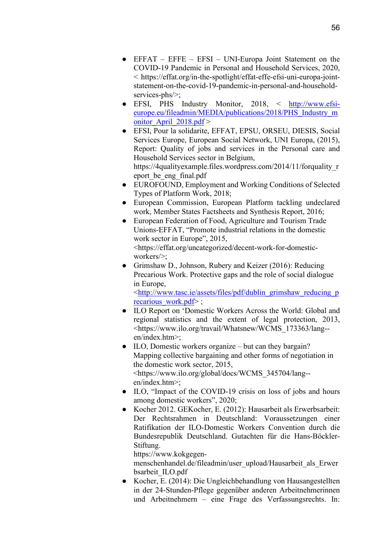- EFSI, PHS Industry Monitor, 2018, < [http://www.efsi](http://www.efsi-europe.eu/fileadmin/MEDIA/publications/2018/PHS_Industry_monitor_April_2018.pdf)[europe.eu/fileadmin/MEDIA/publications/2018/PHS\\_Industry\\_m](http://www.efsi-europe.eu/fileadmin/MEDIA/publications/2018/PHS_Industry_monitor_April_2018.pdf) onitor April  $2018.pdf$
- EFSI, Pour la solidarite, EFFAT, EPSU, ORSEU, DIESIS, Social Services Europe, European Social Network, UNI Europa, (2015), Report: Quality of jobs and services in the Personal care and Household Services sector in Belgium, https://4qualityexample.files.wordpress.com/2014/11/forquality\_r eport\_be\_eng\_final.pdf
- EUROFOUND, Employment and Working Conditions of Selected Types of Platform Work, 2018;
- European Commission, European Platform tackling undeclared work, Member States Factsheets and Synthesis Report, 2016;
- European Federation of Food, Agriculture and Tourism Trade Unions-EFFAT, "Promote industrial relations in the domestic work sector in Europe", 2015, <https://effat.org/uncategorized/decent-work-for-domesticworkers/>;
- Grimshaw D., Johnson, Rubery and Keizer (2016): Reducing Precarious Work. Protective gaps and the role of social dialogue in Europe,

[<http://www.tasc.ie/assets/files/pdf/dublin\\_grimshaw\\_reducing\\_p](http://www.tasc.ie/assets/files/pdf/dublin_grimshaw_reducing_precarious_work.pdf) [recarious\\_work.pdf>](http://www.tasc.ie/assets/files/pdf/dublin_grimshaw_reducing_precarious_work.pdf) ;

- ILO Report on 'Domestic Workers Across the World: Global and regional statistics and the extent of legal protection, 2013, <https://www.ilo.org/travail/Whatsnew/WCMS\_173363/lang- en/index.htm>;
- ILO, Domestic workers organize but can they bargain? Mapping collective bargaining and other forms of negotiation in the domestic work sector, 2015, <https://www.ilo.org/global/docs/WCMS\_345704/lang- en/index.htm>;
- ILO, "Impact of the COVID-19 crisis on loss of jobs and hours among domestic workers", 2020;
- Kocher 2012. GEKocher, E. (2012): Hausarbeit als Erwerbsarbeit: Der Rechtsrahmen in Deutschland: Voraussetzungen einer Ratifikation der ILO-Domestic Workers Convention durch die Bundesrepublik Deutschland. Gutachten für die Hans-Böckler-Stiftung.

https://www.kokgegen-

menschenhandel.de/fileadmin/user\_upload/Hausarbeit\_als\_Erwer bsarbeit\_ILO.pdf

● Kocher, E. (2014): Die Ungleichbehandlung von Hausangestellten in der 24-Stunden-Pflege gegenüber anderen Arbeitnehmerinnen und Arbeitnehmern – eine Frage des Verfassungsrechts. In: